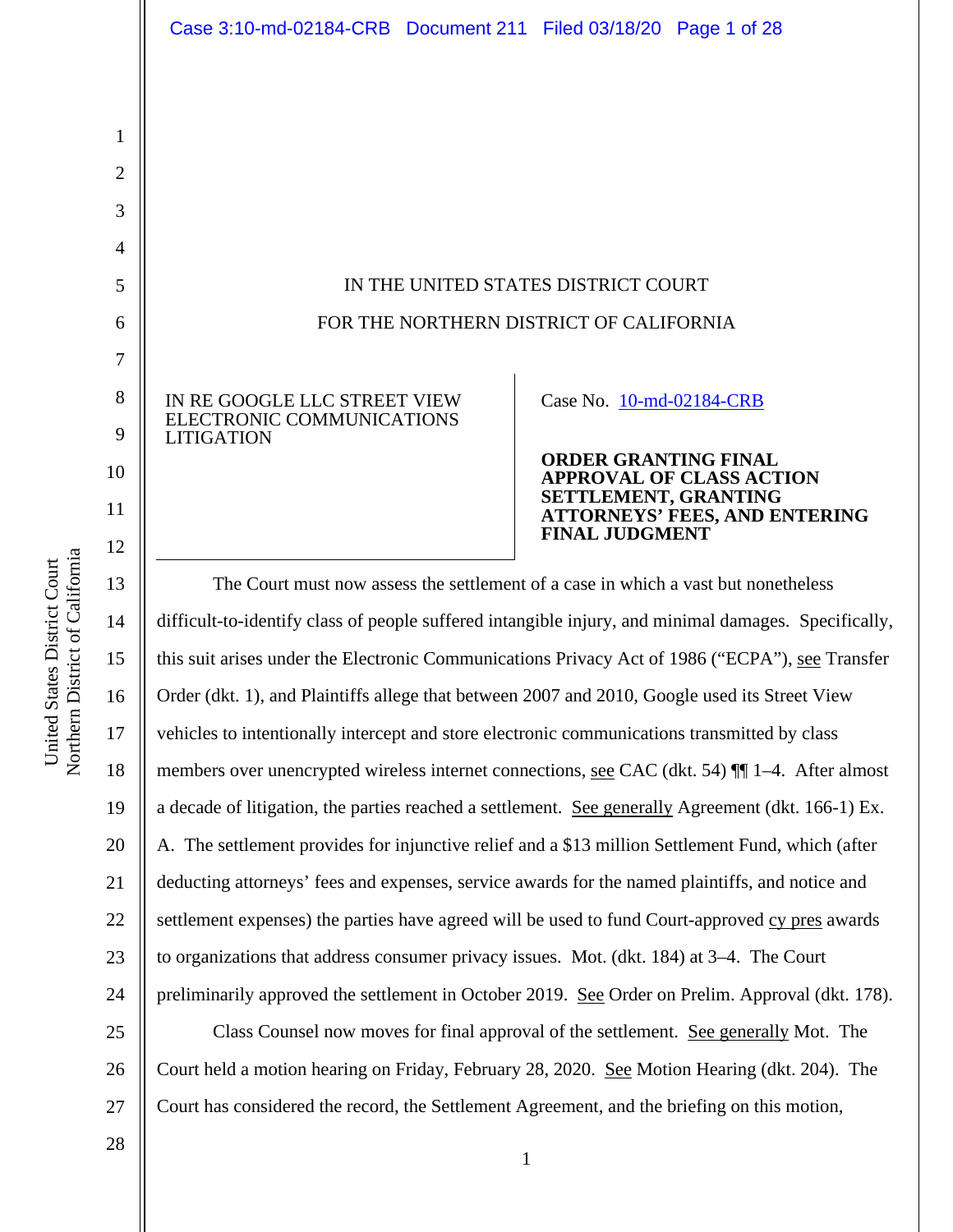|                | Case 3:10-md-02184-CRB Document 211 Filed 03/18/20 Page 1 of 28                                  |  |                                               |                                      |
|----------------|--------------------------------------------------------------------------------------------------|--|-----------------------------------------------|--------------------------------------|
|                |                                                                                                  |  |                                               |                                      |
|                |                                                                                                  |  |                                               |                                      |
| 1              |                                                                                                  |  |                                               |                                      |
| $\overline{2}$ |                                                                                                  |  |                                               |                                      |
| 3              |                                                                                                  |  |                                               |                                      |
| $\overline{4}$ |                                                                                                  |  |                                               |                                      |
| 5              | IN THE UNITED STATES DISTRICT COURT                                                              |  |                                               |                                      |
| 6              | FOR THE NORTHERN DISTRICT OF CALIFORNIA                                                          |  |                                               |                                      |
| $\overline{7}$ |                                                                                                  |  |                                               |                                      |
| 8              | IN RE GOOGLE LLC STREET VIEW                                                                     |  | Case No. 10-md-02184-CRB                      |                                      |
| 9              | ELECTRONIC COMMUNICATIONS<br><b>LITIGATION</b>                                                   |  |                                               |                                      |
| 10             |                                                                                                  |  | <b>ORDER GRANTING FINAL</b>                   | <b>APPROVAL OF CLASS ACTION</b>      |
| 11<br>12       |                                                                                                  |  | SETTLEMENT, GRANTING<br><b>FINAL JUDGMENT</b> | <b>ATTORNEYS' FEES, AND ENTERING</b> |
| 13             | The Court must now assess the settlement of a case in which a vast but nonetheless               |  |                                               |                                      |
| 14             | difficult-to-identify class of people suffered intangible injury and minimal damages. Specifical |  |                                               |                                      |

13 14 15 16 17 18 19 20 21 22 23 24 25 26 lt-to-identify class of people suffered intangible injury, and minimal damages. Specifically, this suit arises under the Electronic Communications Privacy Act of 1986 ("ECPA"), see Transfer Order (dkt. 1), and Plaintiffs allege that between 2007 and 2010, Google used its Street View vehicles to intentionally intercept and store electronic communications transmitted by class members over unencrypted wireless internet connections, see CAC (dkt. 54) ¶¶ 1–4. After almost a decade of litigation, the parties reached a settlement. See generally Agreement (dkt. 166-1) Ex. A. The settlement provides for injunctive relief and a \$13 million Settlement Fund, which (after deducting attorneys' fees and expenses, service awards for the named plaintiffs, and notice and settlement expenses) the parties have agreed will be used to fund Court-approved cy pres awards to organizations that address consumer privacy issues. Mot. (dkt. 184) at 3–4. The Court preliminarily approved the settlement in October 2019. See Order on Prelim. Approval (dkt. 178). Class Counsel now moves for final approval of the settlement. See generally Mot. The Court held a motion hearing on Friday, February 28, 2020. See Motion Hearing (dkt. 204). The

1

United States District Court Northern District of Californi

United States District Court

a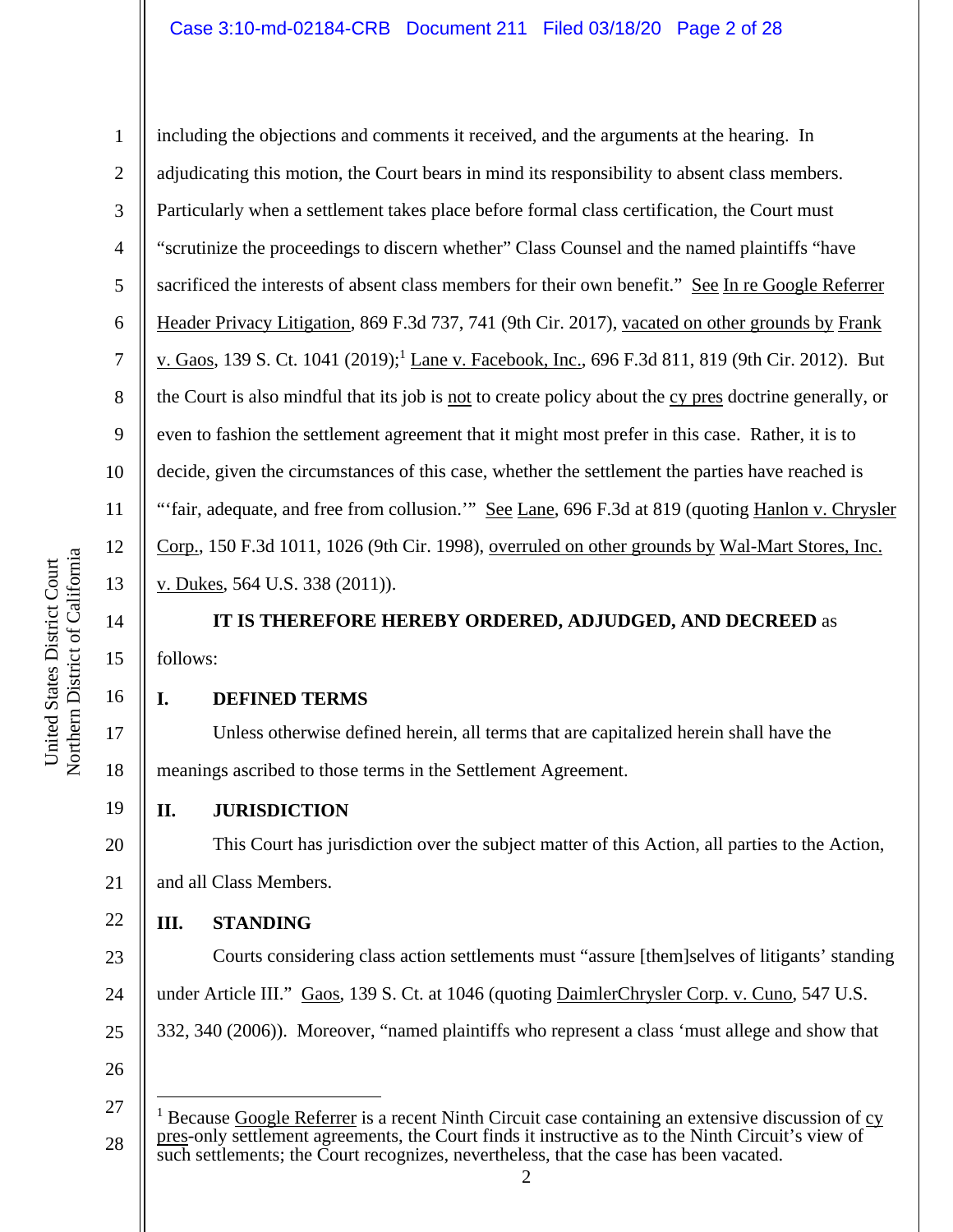### Case 3:10-md-02184-CRB Document 211 Filed 03/18/20 Page 2 of 28

including the objections and comments it received, and the arguments at the hearing. In adjudicating this motion, the Court bears in mind its responsibility to absent class members. Particularly when a settlement takes place before formal class certification, the Court must "scrutinize the proceedings to discern whether" Class Counsel and the named plaintiffs "have sacrificed the interests of absent class members for their own benefit." See In re Google Referrer Header Privacy Litigation, 869 F.3d 737, 741 (9th Cir. 2017), vacated on other grounds by Frank v. Gaos, 139 S. Ct. 1041 (2019);<sup>1</sup> Lane v. Facebook, Inc., 696 F.3d 811, 819 (9th Cir. 2012). But the Court is also mindful that its job is not to create policy about the cy pres doctrine generally, or even to fashion the settlement agreement that it might most prefer in this case. Rather, it is to decide, given the circumstances of this case, whether the settlement the parties have reached is "'fair, adequate, and free from collusion."" See Lane, 696 F.3d at 819 (quoting Hanlon v. Chrysler Corp., 150 F.3d 1011, 1026 (9th Cir. 1998), overruled on other grounds by Wal-Mart Stores, Inc. v. Dukes, 564 U.S. 338 (2011)).

**IT IS THEREFORE HEREBY ORDERED, ADJUDGED, AND DECREED** as follows:

#### **I. DEFINED TERMS**

Unless otherwise defined herein, all terms that are capitalized herein shall have the meanings ascribed to those terms in the Settlement Agreement.

- 19 **II. JURISDICTION** 
	- This Court has jurisdiction over the subject matter of this Action, all parties to the Action, and all Class Members.

#### 22 **III. STANDING**

23 24 25 26 Courts considering class action settlements must "assure [them]selves of litigants' standing under Article III." Gaos, 139 S. Ct. at 1046 (quoting DaimlerChrysler Corp. v. Cuno, 547 U.S. 332, 340 (2006)). Moreover, "named plaintiffs who represent a class 'must allege and show that

1

2

3

4

5

6

7

8

9

10

11

12

13

14

15

16

17

18

20

<sup>27</sup>  28 <sup>1</sup> Because Google Referrer is a recent Ninth Circuit case containing an extensive discussion of  $\frac{cy}{q}$ pres-only settlement agreements, the Court finds it instructive as to the Ninth Circuit's view of such settlements; the Court recognizes, nevertheless, that the case has been vacated.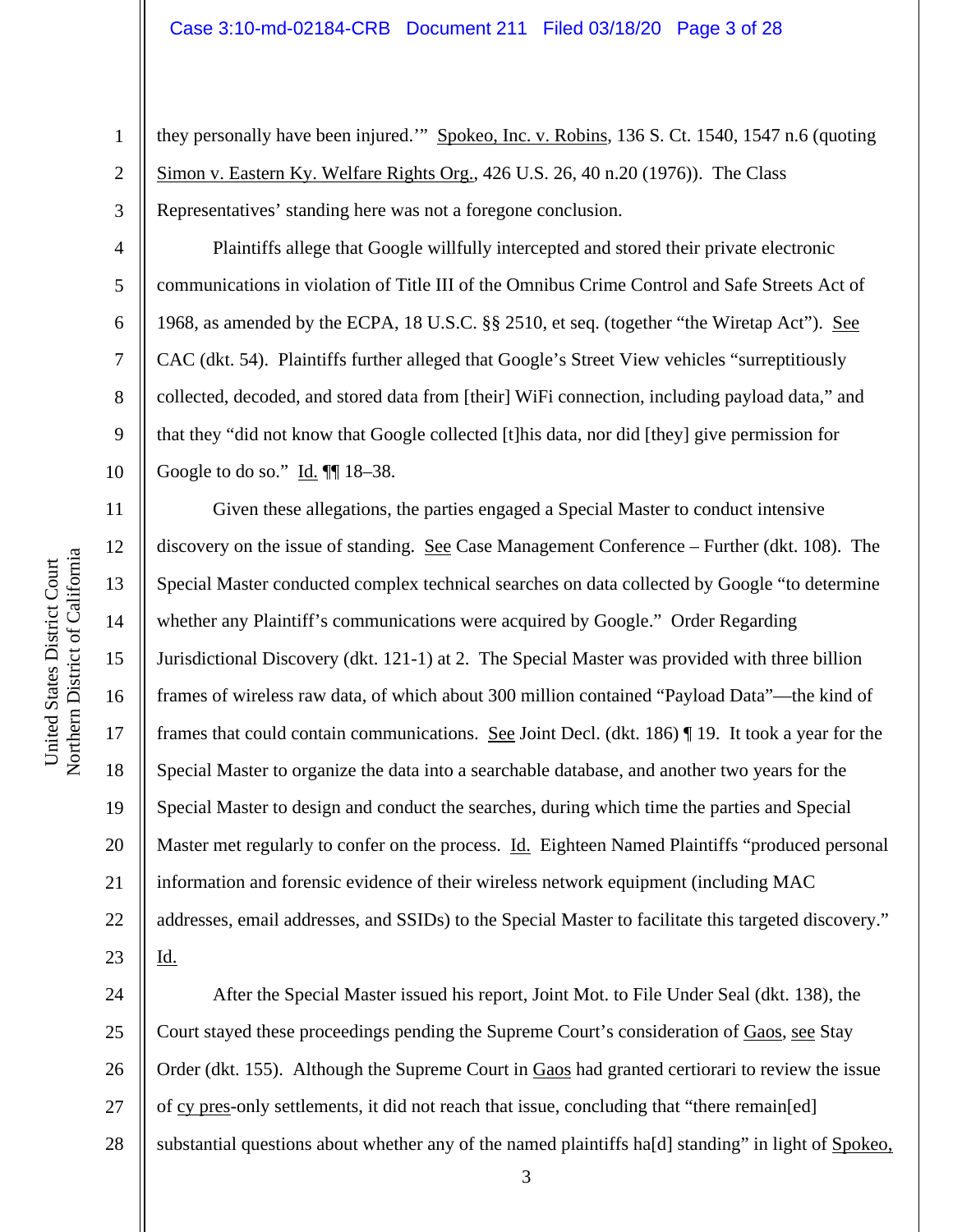they personally have been injured." Spokeo, Inc. v. Robins, 136 S. Ct. 1540, 1547 n.6 (quoting Simon v. Eastern Ky. Welfare Rights Org., 426 U.S. 26, 40 n.20 (1976)). The Class Representatives' standing here was not a foregone conclusion.

Plaintiffs allege that Google willfully intercepted and stored their private electronic communications in violation of Title III of the Omnibus Crime Control and Safe Streets Act of 1968, as amended by the ECPA, 18 U.S.C. §§ 2510, et seq. (together "the Wiretap Act"). See CAC (dkt. 54). Plaintiffs further alleged that Google's Street View vehicles "surreptitiously collected, decoded, and stored data from [their] WiFi connection, including payload data," and that they "did not know that Google collected [t]his data, nor did [they] give permission for Google to do so." Id. ¶¶ 18–38.

Given these allegations, the parties engaged a Special Master to conduct intensive discovery on the issue of standing. See Case Management Conference – Further (dkt. 108). The Special Master conducted complex technical searches on data collected by Google "to determine whether any Plaintiff's communications were acquired by Google." Order Regarding Jurisdictional Discovery (dkt. 121-1) at 2. The Special Master was provided with three billion frames of wireless raw data, of which about 300 million contained "Payload Data"—the kind of frames that could contain communications. See Joint Decl. (dkt. 186) ¶ 19. It took a year for the Special Master to organize the data into a searchable database, and another two years for the Special Master to design and conduct the searches, during which time the parties and Special Master met regularly to confer on the process. Id. Eighteen Named Plaintiffs "produced personal information and forensic evidence of their wireless network equipment (including MAC addresses, email addresses, and SSIDs) to the Special Master to facilitate this targeted discovery." Id.

24 25 26 27 28 After the Special Master issued his report, Joint Mot. to File Under Seal (dkt. 138), the Court stayed these proceedings pending the Supreme Court's consideration of Gaos, see Stay Order (dkt. 155). Although the Supreme Court in Gaos had granted certiorari to review the issue of cy pres-only settlements, it did not reach that issue, concluding that "there remain[ed] substantial questions about whether any of the named plaintiffs ha[d] standing" in light of Spokeo,

1

2

3

4

5

6

7

8

9

10

11

12

13

14

15

16

17

18

19

20

21

22

23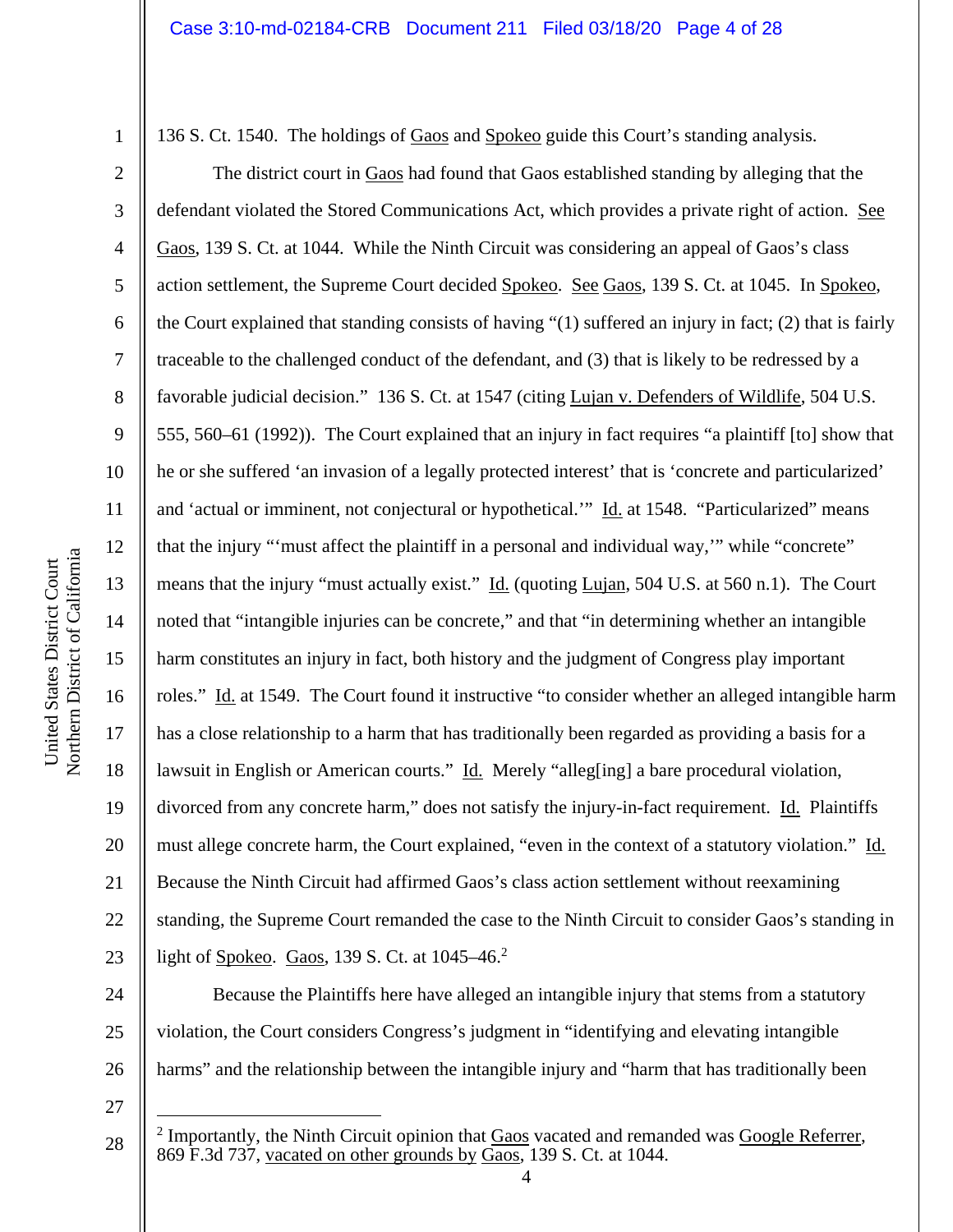136 S. Ct. 1540. The holdings of Gaos and Spokeo guide this Court's standing analysis.

The district court in Gaos had found that Gaos established standing by alleging that the defendant violated the Stored Communications Act, which provides a private right of action. See Gaos, 139 S. Ct. at 1044. While the Ninth Circuit was considering an appeal of Gaos's class action settlement, the Supreme Court decided Spokeo. See Gaos, 139 S. Ct. at 1045. In Spokeo, the Court explained that standing consists of having "(1) suffered an injury in fact; (2) that is fairly traceable to the challenged conduct of the defendant, and (3) that is likely to be redressed by a favorable judicial decision." 136 S. Ct. at 1547 (citing Lujan v. Defenders of Wildlife, 504 U.S. 555, 560–61 (1992)). The Court explained that an injury in fact requires "a plaintiff [to] show that he or she suffered 'an invasion of a legally protected interest' that is 'concrete and particularized' and 'actual or imminent, not conjectural or hypothetical.'" Id. at 1548. "Particularized" means that the injury "'must affect the plaintiff in a personal and individual way,'" while "concrete" means that the injury "must actually exist." Id. (quoting Lujan, 504 U.S. at 560 n.1). The Court noted that "intangible injuries can be concrete," and that "in determining whether an intangible harm constitutes an injury in fact, both history and the judgment of Congress play important roles." Id. at 1549. The Court found it instructive "to consider whether an alleged intangible harm has a close relationship to a harm that has traditionally been regarded as providing a basis for a lawsuit in English or American courts." Id. Merely "alleg[ing] a bare procedural violation, divorced from any concrete harm," does not satisfy the injury-in-fact requirement. Id. Plaintiffs must allege concrete harm, the Court explained, "even in the context of a statutory violation." Id. Because the Ninth Circuit had affirmed Gaos's class action settlement without reexamining standing, the Supreme Court remanded the case to the Ninth Circuit to consider Gaos's standing in light of <u>Spokeo</u>. Gaos, 139 S. Ct. at 1045–46.<sup>2</sup>

24 25 26 Because the Plaintiffs here have alleged an intangible injury that stems from a statutory violation, the Court considers Congress's judgment in "identifying and elevating intangible harms" and the relationship between the intangible injury and "harm that has traditionally been

27

1

2

3

4

5

6

7

8

9

10

11

12

13

14

15

16

17

18

19

20

21

22

<sup>28</sup>  <sup>2</sup> Importantly, the Ninth Circuit opinion that  $Gaos$  vacated and remanded was  $Google$  Referrer, 869 F.3d 737, vacated on other grounds by Gaos, 139 S. Ct. at 1044.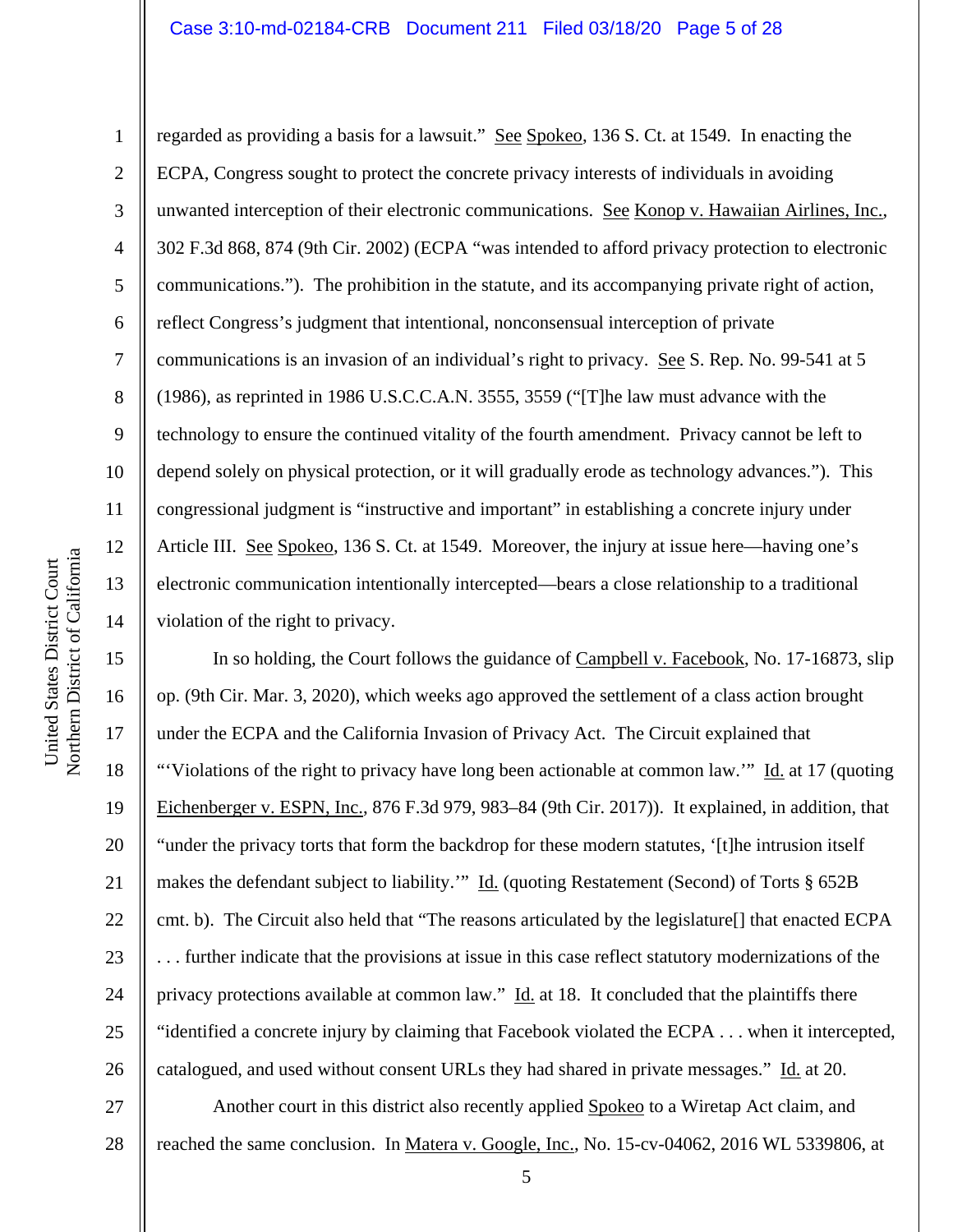#### Case 3:10-md-02184-CRB Document 211 Filed 03/18/20 Page 5 of 28

regarded as providing a basis for a lawsuit." See Spokeo, 136 S. Ct. at 1549. In enacting the ECPA, Congress sought to protect the concrete privacy interests of individuals in avoiding unwanted interception of their electronic communications. See Konop v. Hawaiian Airlines, Inc., 302 F.3d 868, 874 (9th Cir. 2002) (ECPA "was intended to afford privacy protection to electronic communications."). The prohibition in the statute, and its accompanying private right of action, reflect Congress's judgment that intentional, nonconsensual interception of private communications is an invasion of an individual's right to privacy. See S. Rep. No. 99-541 at 5 (1986), as reprinted in 1986 U.S.C.C.A.N. 3555, 3559 ("[T]he law must advance with the technology to ensure the continued vitality of the fourth amendment. Privacy cannot be left to depend solely on physical protection, or it will gradually erode as technology advances."). This congressional judgment is "instructive and important" in establishing a concrete injury under Article III. See Spokeo, 136 S. Ct. at 1549. Moreover, the injury at issue here—having one's electronic communication intentionally intercepted—bears a close relationship to a traditional violation of the right to privacy.

15 16 17 18 19 20 21 22 23 24 25 26 In so holding, the Court follows the guidance of Campbell v. Facebook, No. 17-16873, slip op. (9th Cir. Mar. 3, 2020), which weeks ago approved the settlement of a class action brought under the ECPA and the California Invasion of Privacy Act. The Circuit explained that "'Violations of the right to privacy have long been actionable at common law.'" Id. at 17 (quoting Eichenberger v. ESPN, Inc., 876 F.3d 979, 983–84 (9th Cir. 2017)). It explained, in addition, that "under the privacy torts that form the backdrop for these modern statutes, '[t]he intrusion itself makes the defendant subject to liability.'" Id. (quoting Restatement (Second) of Torts § 652B cmt. b). The Circuit also held that "The reasons articulated by the legislature[] that enacted ECPA . . . further indicate that the provisions at issue in this case reflect statutory modernizations of the privacy protections available at common law." Id. at 18. It concluded that the plaintiffs there "identified a concrete injury by claiming that Facebook violated the ECPA . . . when it intercepted, catalogued, and used without consent URLs they had shared in private messages." Id. at 20.

27 28 Another court in this district also recently applied Spokeo to a Wiretap Act claim, and reached the same conclusion. In Matera v. Google, Inc., No. 15-cv-04062, 2016 WL 5339806, at

1

2

3

4

5

6

7

8

9

10

11

12

13

14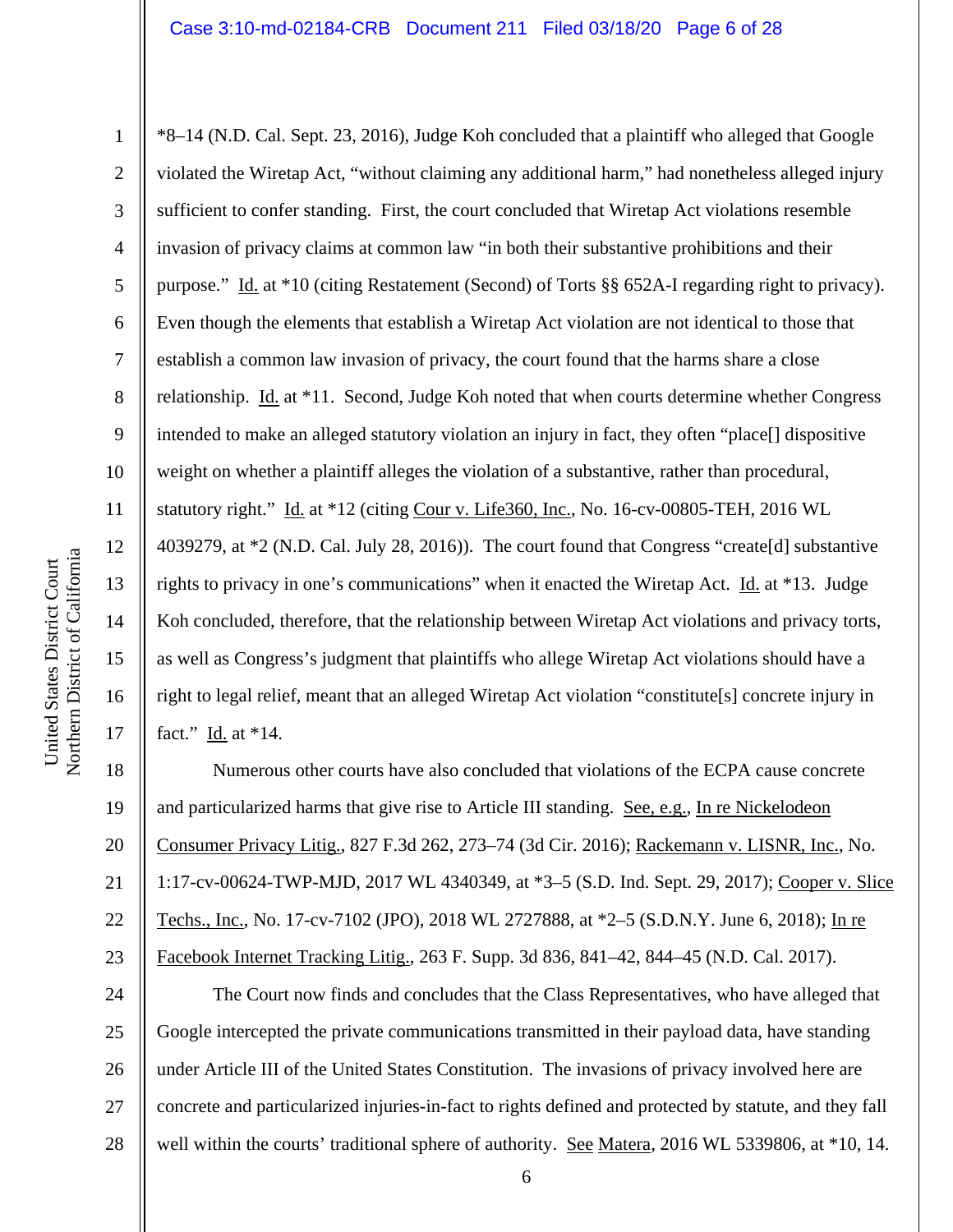1

2

3

4

5

6

7

8

9

10

11

12

13

14

15

16

17

\*8–14 (N.D. Cal. Sept. 23, 2016), Judge Koh concluded that a plaintiff who alleged that Google violated the Wiretap Act, "without claiming any additional harm," had nonetheless alleged injury sufficient to confer standing. First, the court concluded that Wiretap Act violations resemble invasion of privacy claims at common law "in both their substantive prohibitions and their purpose." Id. at \*10 (citing Restatement (Second) of Torts §§ 652A-I regarding right to privacy). Even though the elements that establish a Wiretap Act violation are not identical to those that establish a common law invasion of privacy, the court found that the harms share a close relationship. Id. at \*11. Second, Judge Koh noted that when courts determine whether Congress intended to make an alleged statutory violation an injury in fact, they often "place[] dispositive weight on whether a plaintiff alleges the violation of a substantive, rather than procedural, statutory right." Id. at \*12 (citing Cour v. Life360, Inc., No. 16-cv-00805-TEH, 2016 WL 4039279, at \*2 (N.D. Cal. July 28, 2016)). The court found that Congress "create[d] substantive rights to privacy in one's communications" when it enacted the Wiretap Act. Id. at \*13. Judge Koh concluded, therefore, that the relationship between Wiretap Act violations and privacy torts, as well as Congress's judgment that plaintiffs who allege Wiretap Act violations should have a right to legal relief, meant that an alleged Wiretap Act violation "constitute[s] concrete injury in fact." Id. at \*14.

18 19 20 21 22 23 Numerous other courts have also concluded that violations of the ECPA cause concrete and particularized harms that give rise to Article III standing. See, e.g., In re Nickelodeon Consumer Privacy Litig., 827 F.3d 262, 273–74 (3d Cir. 2016); Rackemann v. LISNR, Inc., No. 1:17-cv-00624-TWP-MJD, 2017 WL 4340349, at \*3–5 (S.D. Ind. Sept. 29, 2017); Cooper v. Slice Techs., Inc., No. 17-cv-7102 (JPO), 2018 WL 2727888, at \*2–5 (S.D.N.Y. June 6, 2018); In re Facebook Internet Tracking Litig., 263 F. Supp. 3d 836, 841–42, 844–45 (N.D. Cal. 2017).

24 25 26 27 28 The Court now finds and concludes that the Class Representatives, who have alleged that Google intercepted the private communications transmitted in their payload data, have standing under Article III of the United States Constitution. The invasions of privacy involved here are concrete and particularized injuries-in-fact to rights defined and protected by statute, and they fall well within the courts' traditional sphere of authority. See Matera, 2016 WL 5339806, at \*10, 14.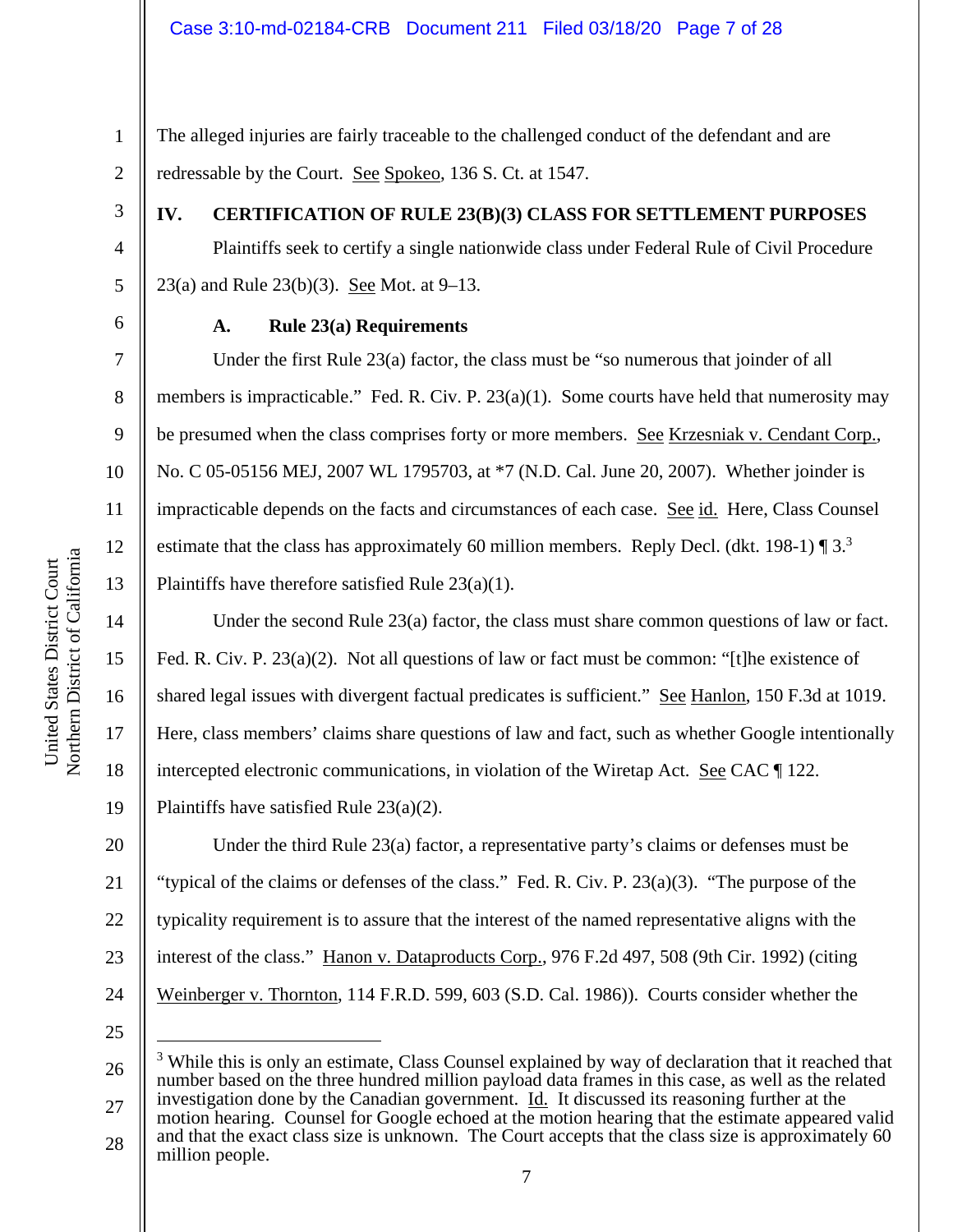The alleged injuries are fairly traceable to the challenged conduct of the defendant and are redressable by the Court. See Spokeo, 136 S. Ct. at 1547.

3

1

2

4

5

7

8

9

10

11

12

13

14

15

16

17

18

19

# **IV. CERTIFICATION OF RULE 23(B)(3) CLASS FOR SETTLEMENT PURPOSES**

Plaintiffs seek to certify a single nationwide class under Federal Rule of Civil Procedure 23(a) and Rule 23(b)(3). See Mot. at  $9-13$ .

6

# **A. Rule 23(a) Requirements**

Under the first Rule 23(a) factor, the class must be "so numerous that joinder of all members is impracticable." Fed. R. Civ. P. 23(a)(1). Some courts have held that numerosity may be presumed when the class comprises forty or more members. See Krzesniak v. Cendant Corp., No. C 05-05156 MEJ, 2007 WL 1795703, at \*7 (N.D. Cal. June 20, 2007). Whether joinder is impracticable depends on the facts and circumstances of each case. See id. Here, Class Counsel estimate that the class has approximately 60 million members. Reply Decl. (dkt. 198-1)  $\P$  3.<sup>3</sup> Plaintiffs have therefore satisfied Rule 23(a)(1).

Under the second Rule 23(a) factor, the class must share common questions of law or fact. Fed. R. Civ. P. 23(a)(2). Not all questions of law or fact must be common: "[t]he existence of shared legal issues with divergent factual predicates is sufficient." See Hanlon, 150 F.3d at 1019. Here, class members' claims share questions of law and fact, such as whether Google intentionally intercepted electronic communications, in violation of the Wiretap Act. See CAC ¶ 122. Plaintiffs have satisfied Rule 23(a)(2).

20 21 22 23 24 Under the third Rule 23(a) factor, a representative party's claims or defenses must be "typical of the claims or defenses of the class." Fed. R. Civ. P. 23(a)(3). "The purpose of the typicality requirement is to assure that the interest of the named representative aligns with the interest of the class." Hanon v. Dataproducts Corp., 976 F.2d 497, 508 (9th Cir. 1992) (citing Weinberger v. Thornton, 114 F.R.D. 599, 603 (S.D. Cal. 1986)). Courts consider whether the

25

26 27 <sup>3</sup> While this is only an estimate, Class Counsel explained by way of declaration that it reached that number based on the three hundred million payload data frames in this case, as well as the related investigation done by the Canadian government. Id. It discussed its reasoning further at the

28 motion hearing. Counsel for Google echoed at the motion hearing that the estimate appeared valid and that the exact class size is unknown. The Court accepts that the class size is approximately 60 million people.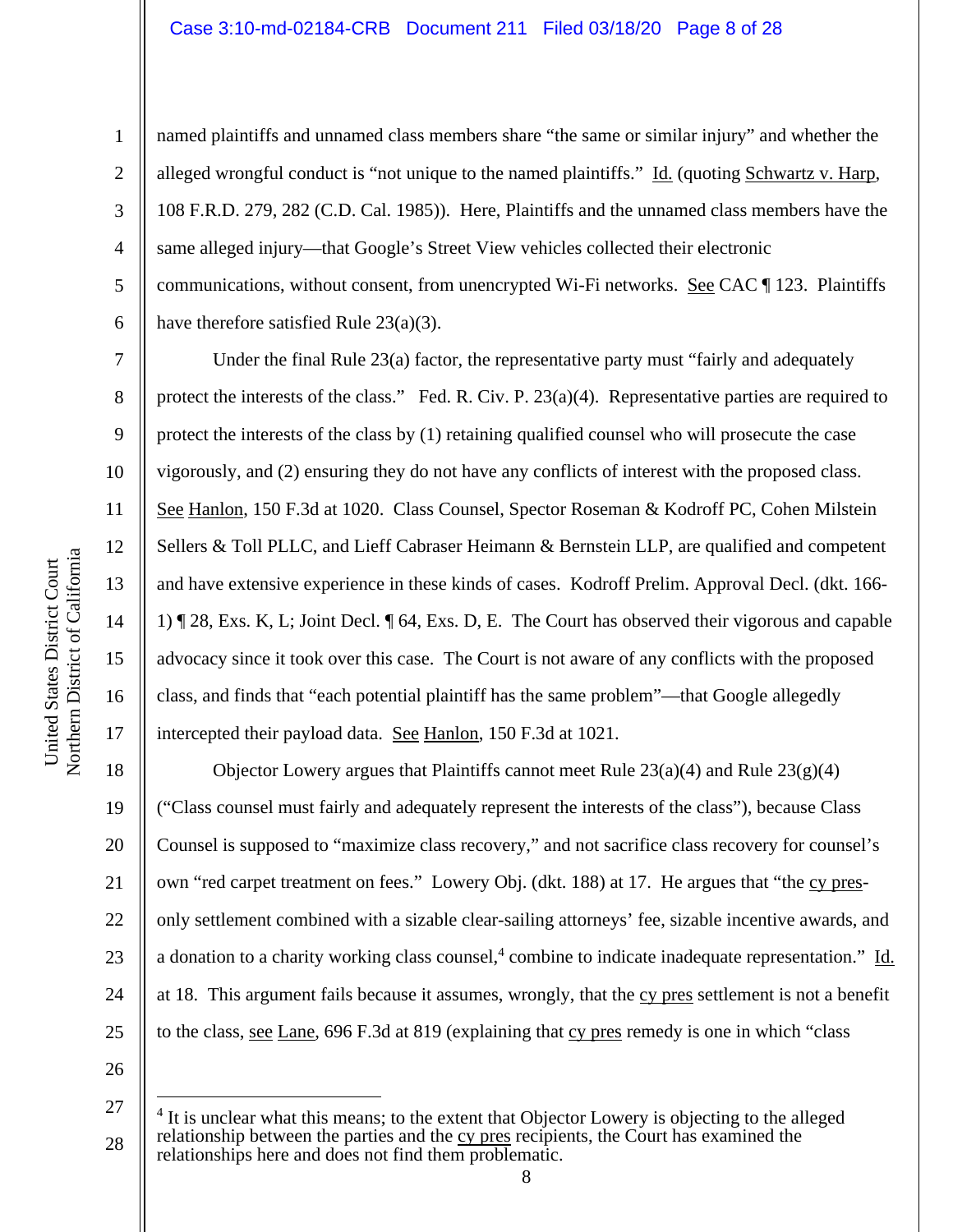#### Case 3:10-md-02184-CRB Document 211 Filed 03/18/20 Page 8 of 28

8

9

10

11

12

13

14

15

16

17

1

named plaintiffs and unnamed class members share "the same or similar injury" and whether the alleged wrongful conduct is "not unique to the named plaintiffs." Id. (quoting Schwartz v. Harp, 108 F.R.D. 279, 282 (C.D. Cal. 1985)). Here, Plaintiffs and the unnamed class members have the same alleged injury—that Google's Street View vehicles collected their electronic communications, without consent, from unencrypted Wi-Fi networks. See CAC ¶ 123. Plaintiffs have therefore satisfied Rule 23(a)(3).

Under the final Rule  $23(a)$  factor, the representative party must "fairly and adequately protect the interests of the class." Fed. R. Civ. P. 23(a)(4). Representative parties are required to protect the interests of the class by (1) retaining qualified counsel who will prosecute the case vigorously, and (2) ensuring they do not have any conflicts of interest with the proposed class. See Hanlon, 150 F.3d at 1020.Class Counsel, Spector Roseman & Kodroff PC, Cohen Milstein Sellers & Toll PLLC, and Lieff Cabraser Heimann & Bernstein LLP, are qualified and competent and have extensive experience in these kinds of cases. Kodroff Prelim. Approval Decl. (dkt. 166- 1) ¶ 28, Exs. K, L; Joint Decl. ¶ 64, Exs. D, E. The Court has observed their vigorous and capable advocacy since it took over this case. The Court is not aware of any conflicts with the proposed class, and finds that "each potential plaintiff has the same problem"—that Google allegedly intercepted their payload data. See Hanlon, 150 F.3d at 1021.

18 19 20 21 22 23 24 25 Objector Lowery argues that Plaintiffs cannot meet Rule  $23(a)(4)$  and Rule  $23(g)(4)$ ("Class counsel must fairly and adequately represent the interests of the class"), because Class Counsel is supposed to "maximize class recovery," and not sacrifice class recovery for counsel's own "red carpet treatment on fees." Lowery Obj. (dkt. 188) at 17. He argues that "the cy presonly settlement combined with a sizable clear-sailing attorneys' fee, sizable incentive awards, and a donation to a charity working class counsel,<sup>4</sup> combine to indicate inadequate representation." Id. at 18. This argument fails because it assumes, wrongly, that the cy pres settlement is not a benefit to the class, see Lane, 696 F.3d at 819 (explaining that cy pres remedy is one in which "class

26

a

<sup>27</sup>  28 <sup>4</sup> It is unclear what this means; to the extent that Objector Lowery is objecting to the alleged relationship between the parties and the cy pres recipients, the Court has examined the relationships here and does not find them problematic.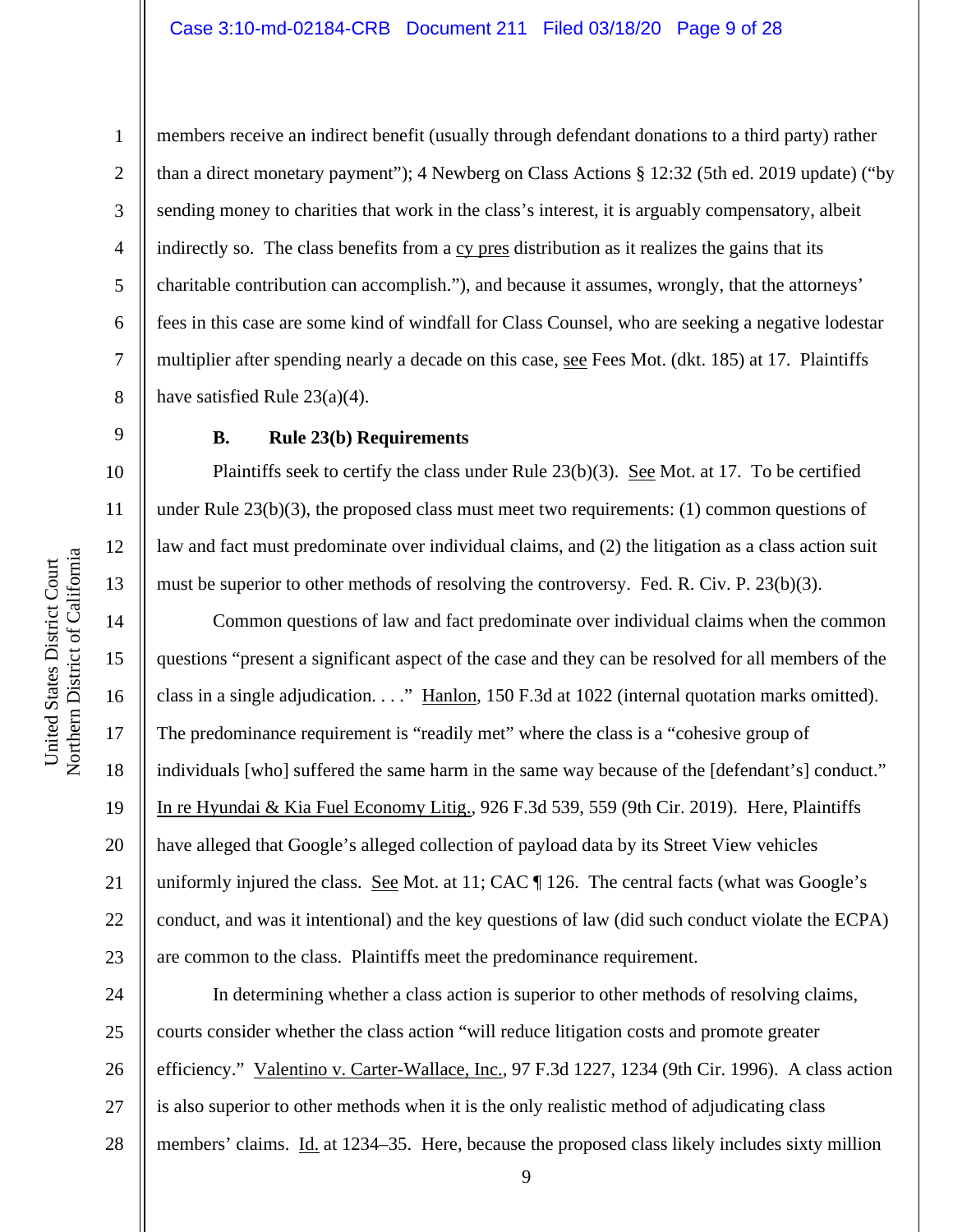a

9

10

11

12

13

14

15

16

17

18

19

20

21

22

23

1

2 3 4 5 6 7 8 members receive an indirect benefit (usually through defendant donations to a third party) rather than a direct monetary payment"); 4 Newberg on Class Actions § 12:32 (5th ed. 2019 update) ("by sending money to charities that work in the class's interest, it is arguably compensatory, albeit indirectly so. The class benefits from a cy pres distribution as it realizes the gains that its charitable contribution can accomplish."), and because it assumes, wrongly, that the attorneys' fees in this case are some kind of windfall for Class Counsel, who are seeking a negative lodestar multiplier after spending nearly a decade on this case, see Fees Mot. (dkt. 185) at 17. Plaintiffs have satisfied Rule 23(a)(4).

# **B. Rule 23(b) Requirements**

Plaintiffs seek to certify the class under Rule 23(b)(3). See Mot. at 17. To be certified under Rule  $23(b)(3)$ , the proposed class must meet two requirements: (1) common questions of law and fact must predominate over individual claims, and (2) the litigation as a class action suit must be superior to other methods of resolving the controversy. Fed. R. Civ. P. 23(b)(3).

Common questions of law and fact predominate over individual claims when the common questions "present a significant aspect of the case and they can be resolved for all members of the class in a single adjudication. . . ." Hanlon, 150 F.3d at 1022 (internal quotation marks omitted). The predominance requirement is "readily met" where the class is a "cohesive group of individuals [who] suffered the same harm in the same way because of the [defendant's] conduct." In re Hyundai & Kia Fuel Economy Litig., 926 F.3d 539, 559 (9th Cir. 2019). Here, Plaintiffs have alleged that Google's alleged collection of payload data by its Street View vehicles uniformly injured the class. See Mot. at 11; CAC  $\P$  126. The central facts (what was Google's conduct, and was it intentional) and the key questions of law (did such conduct violate the ECPA) are common to the class. Plaintiffs meet the predominance requirement.

24 25 26 27 28 In determining whether a class action is superior to other methods of resolving claims, courts consider whether the class action "will reduce litigation costs and promote greater efficiency." Valentino v. Carter-Wallace, Inc., 97 F.3d 1227, 1234 (9th Cir. 1996). A class action is also superior to other methods when it is the only realistic method of adjudicating class members' claims. Id. at 1234–35. Here, because the proposed class likely includes sixty million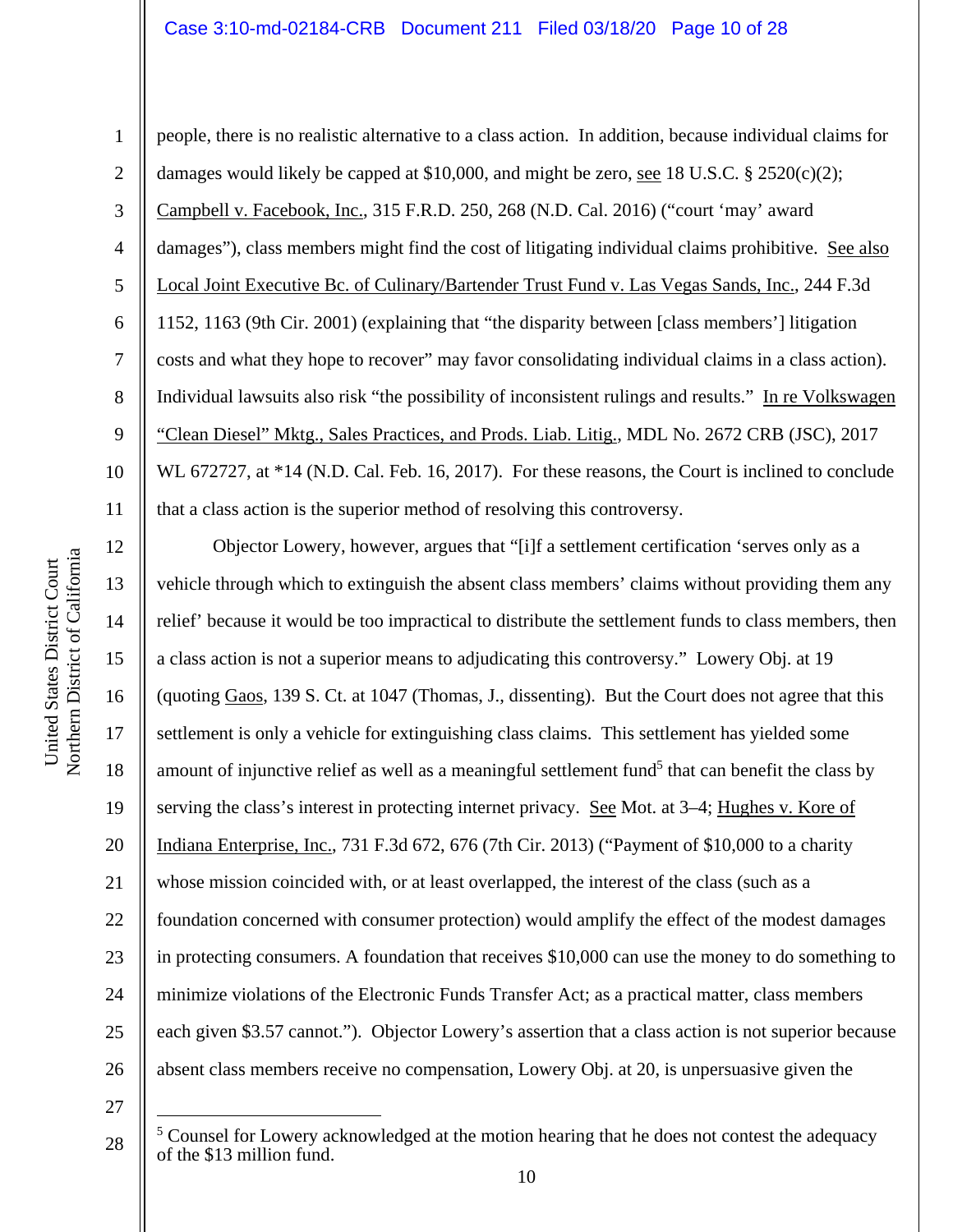# Case 3:10-md-02184-CRB Document 211 Filed 03/18/20 Page 10 of 28

people, there is no realistic alternative to a class action. In addition, because individual claims for damages would likely be capped at \$10,000, and might be zero, see 18 U.S.C. § 2520(c)(2); Campbell v. Facebook, Inc., 315 F.R.D. 250, 268 (N.D. Cal. 2016) ("court 'may' award damages"), class members might find the cost of litigating individual claims prohibitive. See also Local Joint Executive Bc. of Culinary/Bartender Trust Fund v. Las Vegas Sands, Inc., 244 F.3d 1152, 1163 (9th Cir. 2001) (explaining that "the disparity between [class members'] litigation costs and what they hope to recover" may favor consolidating individual claims in a class action). Individual lawsuits also risk "the possibility of inconsistent rulings and results." In re Volkswagen "Clean Diesel" Mktg., Sales Practices, and Prods. Liab. Litig., MDL No. 2672 CRB (JSC), 2017 WL 672727, at \*14 (N.D. Cal. Feb. 16, 2017). For these reasons, the Court is inclined to conclude that a class action is the superior method of resolving this controversy.

12 13 14 15 16 17 18 19 20 21 22 23 24 25 26 Objector Lowery, however, argues that "[i]f a settlement certification 'serves only as a vehicle through which to extinguish the absent class members' claims without providing them any relief' because it would be too impractical to distribute the settlement funds to class members, then a class action is not a superior means to adjudicating this controversy." Lowery Obj. at 19 (quoting Gaos, 139 S. Ct. at 1047 (Thomas, J., dissenting). But the Court does not agree that this settlement is only a vehicle for extinguishing class claims. This settlement has yielded some amount of injunctive relief as well as a meaningful settlement fund<sup>5</sup> that can benefit the class by serving the class's interest in protecting internet privacy. See Mot. at 3–4; Hughes v. Kore of Indiana Enterprise, Inc., 731 F.3d 672, 676 (7th Cir. 2013) ("Payment of \$10,000 to a charity whose mission coincided with, or at least overlapped, the interest of the class (such as a foundation concerned with consumer protection) would amplify the effect of the modest damages in protecting consumers. A foundation that receives \$10,000 can use the money to do something to minimize violations of the Electronic Funds Transfer Act; as a practical matter, class members each given \$3.57 cannot."). Objector Lowery's assertion that a class action is not superior because absent class members receive no compensation, Lowery Obj. at 20, is unpersuasive given the

27

28

1

2

3

4

5

6

7

8

9

10

<sup>&</sup>lt;sup>5</sup> Counsel for Lowery acknowledged at the motion hearing that he does not contest the adequacy of the \$13 million fund.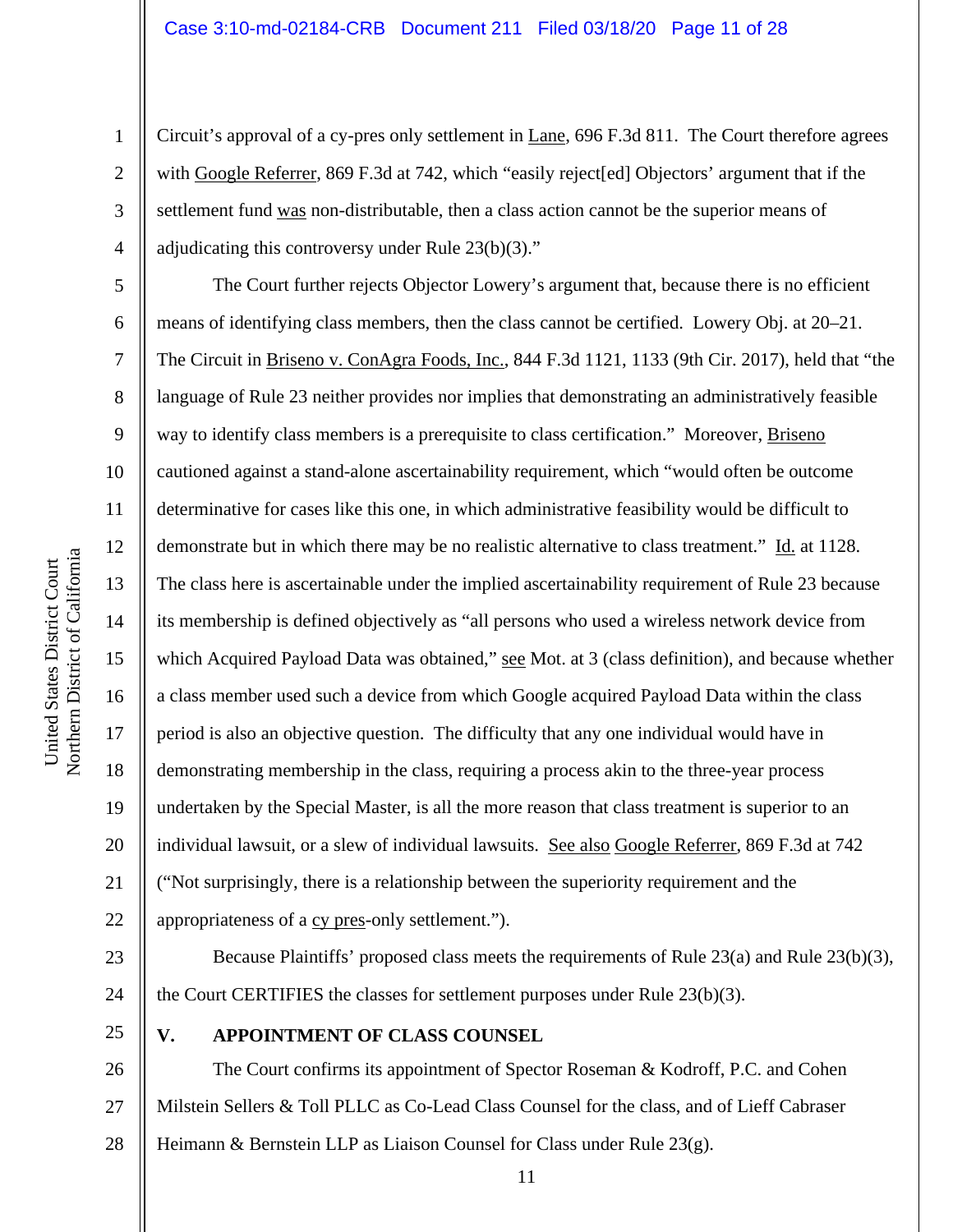Circuit's approval of a cy-pres only settlement in Lane, 696 F.3d 811. The Court therefore agrees with Google Referrer, 869 F.3d at 742, which "easily reject[ed] Objectors' argument that if the settlement fund was non-distributable, then a class action cannot be the superior means of adjudicating this controversy under Rule 23(b)(3)."

The Court further rejects Objector Lowery's argument that, because there is no efficient means of identifying class members, then the class cannot be certified. Lowery Obj. at 20–21. The Circuit in Briseno v. ConAgra Foods, Inc., 844 F.3d 1121, 1133 (9th Cir. 2017), held that "the language of Rule 23 neither provides nor implies that demonstrating an administratively feasible way to identify class members is a prerequisite to class certification." Moreover, Briseno cautioned against a stand-alone ascertainability requirement, which "would often be outcome determinative for cases like this one, in which administrative feasibility would be difficult to demonstrate but in which there may be no realistic alternative to class treatment." Id. at 1128. The class here is ascertainable under the implied ascertainability requirement of Rule 23 because its membership is defined objectively as "all persons who used a wireless network device from which Acquired Payload Data was obtained," see Mot. at 3 (class definition), and because whether a class member used such a device from which Google acquired Payload Data within the class period is also an objective question. The difficulty that any one individual would have in demonstrating membership in the class, requiring a process akin to the three-year process undertaken by the Special Master, is all the more reason that class treatment is superior to an individual lawsuit, or a slew of individual lawsuits. See also Google Referrer, 869 F.3d at 742 ("Not surprisingly, there is a relationship between the superiority requirement and the appropriateness of a cy pres-only settlement.").

23 24

Because Plaintiffs' proposed class meets the requirements of Rule 23(a) and Rule 23(b)(3), the Court CERTIFIES the classes for settlement purposes under Rule 23(b)(3).

25

# **V. APPOINTMENT OF CLASS COUNSEL**

26 27 28 The Court confirms its appointment of Spector Roseman & Kodroff, P.C. and Cohen Milstein Sellers & Toll PLLC as Co-Lead Class Counsel for the class, and of Lieff Cabraser Heimann & Bernstein LLP as Liaison Counsel for Class under Rule 23(g).

1

2

3

4

5

6

7

8

9

10

11

12

13

14

15

16

17

18

19

20

21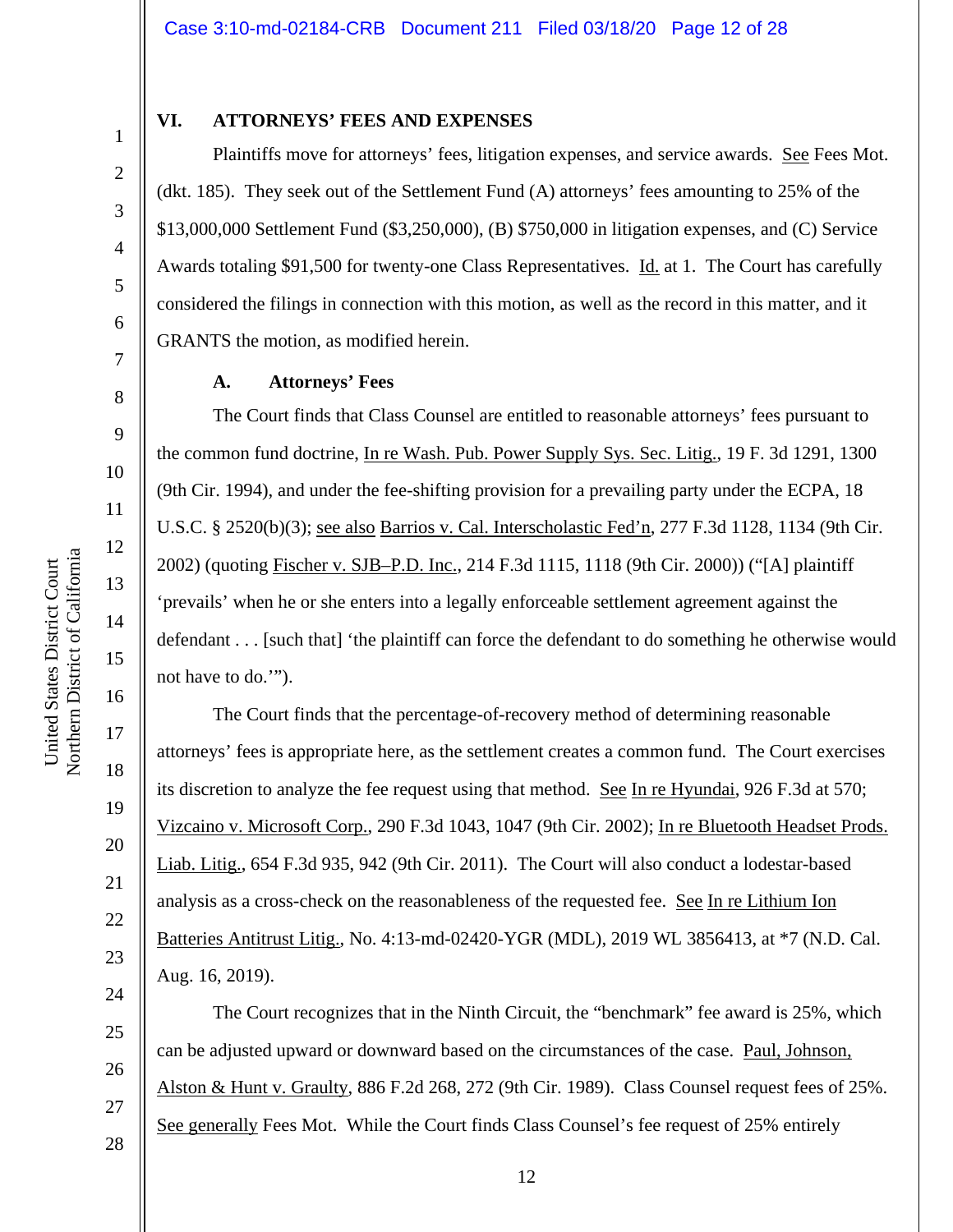### **VI. ATTORNEYS' FEES AND EXPENSES**

Plaintiffs move for attorneys' fees, litigation expenses, and service awards. See Fees Mot. (dkt. 185). They seek out of the Settlement Fund (A) attorneys' fees amounting to 25% of the \$13,000,000 Settlement Fund (\$3,250,000), (B) \$750,000 in litigation expenses, and (C) Service Awards totaling \$91,500 for twenty-one Class Representatives. Id. at 1. The Court has carefully considered the filings in connection with this motion, as well as the record in this matter, and it GRANTS the motion, as modified herein.

#### **A. Attorneys' Fees**

The Court finds that Class Counsel are entitled to reasonable attorneys' fees pursuant to the common fund doctrine, In re Wash. Pub. Power Supply Sys. Sec. Litig., 19 F. 3d 1291, 1300 (9th Cir. 1994), and under the fee-shifting provision for a prevailing party under the ECPA, 18 U.S.C. § 2520(b)(3); see also Barrios v. Cal. Interscholastic Fed'n, 277 F.3d 1128, 1134 (9th Cir. 2002) (quoting Fischer v. SJB–P.D. Inc., 214 F.3d 1115, 1118 (9th Cir. 2000)) ("[A] plaintiff 'prevails' when he or she enters into a legally enforceable settlement agreement against the defendant . . . [such that] 'the plaintiff can force the defendant to do something he otherwise would not have to do.'").

The Court finds that the percentage-of-recovery method of determining reasonable attorneys' fees is appropriate here, as the settlement creates a common fund. The Court exercises its discretion to analyze the fee request using that method. See In re Hyundai, 926 F.3d at 570; Vizcaino v. Microsoft Corp., 290 F.3d 1043, 1047 (9th Cir. 2002); In re Bluetooth Headset Prods. Liab. Litig., 654 F.3d 935, 942 (9th Cir. 2011). The Court will also conduct a lodestar-based analysis as a cross-check on the reasonableness of the requested fee. See In re Lithium Ion Batteries Antitrust Litig., No. 4:13-md-02420-YGR (MDL), 2019 WL 3856413, at \*7 (N.D. Cal. Aug. 16, 2019).

The Court recognizes that in the Ninth Circuit, the "benchmark" fee award is 25%, which can be adjusted upward or downward based on the circumstances of the case. Paul, Johnson, Alston & Hunt v. Graulty, 886 F.2d 268, 272 (9th Cir. 1989). Class Counsel request fees of 25%. See generally Fees Mot. While the Court finds Class Counsel's fee request of 25% entirely

1

2

3

4

5

6

7

8

9

10

11

12

13

14

15

16

17

18

19

20

21

22

23

24

25

26

27

28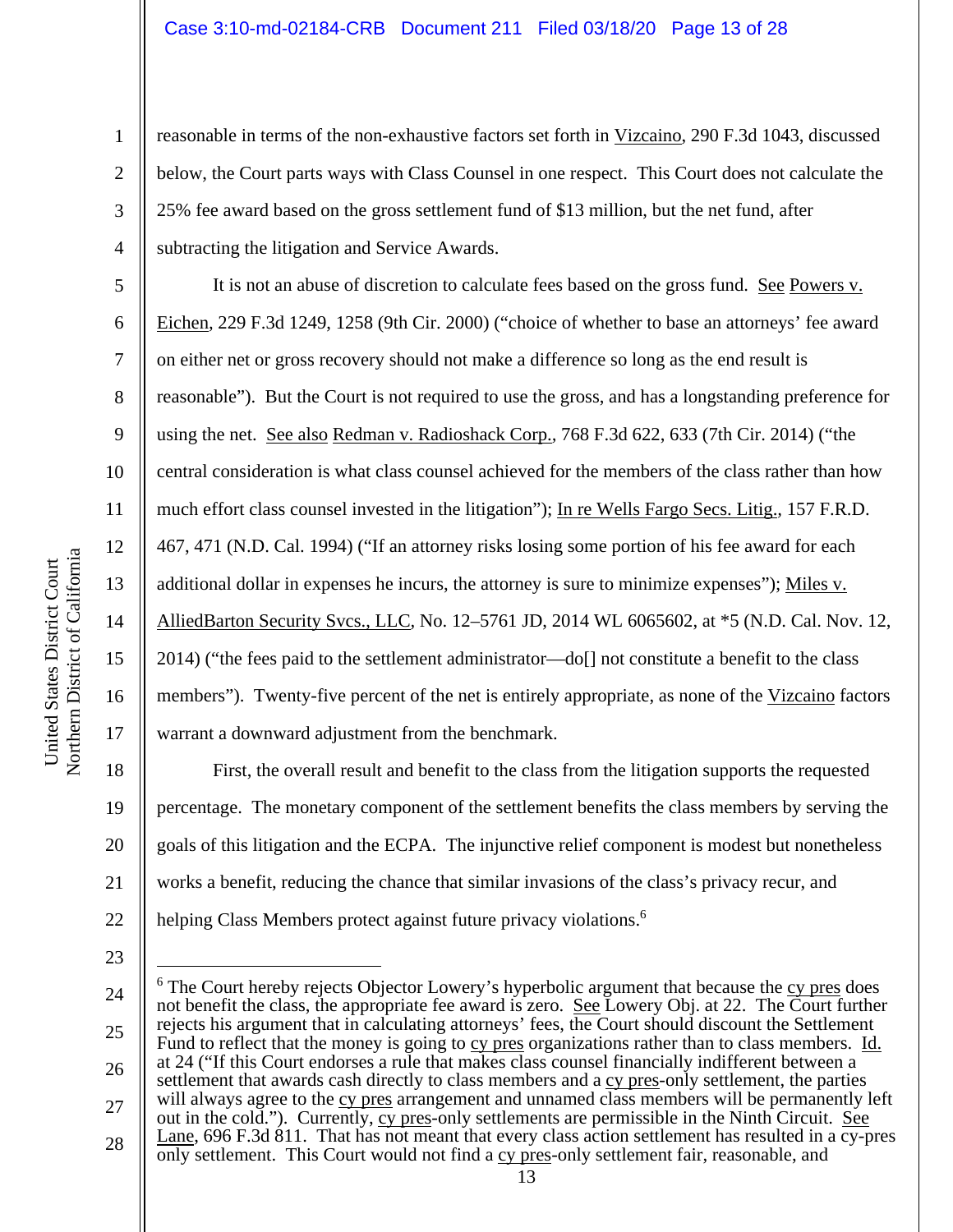reasonable in terms of the non-exhaustive factors set forth in Vizcaino, 290 F.3d 1043, discussed below, the Court parts ways with Class Counsel in one respect. This Court does not calculate the 25% fee award based on the gross settlement fund of \$13 million, but the net fund, after subtracting the litigation and Service Awards.

It is not an abuse of discretion to calculate fees based on the gross fund. See Powers v. Eichen*,* 229 F.3d 1249, 1258 (9th Cir. 2000) ("choice of whether to base an attorneys' fee award on either net or gross recovery should not make a difference so long as the end result is reasonable"). But the Court is not required to use the gross, and has a longstanding preference for using the net. See also Redman v. Radioshack Corp.*,* 768 F.3d 622, 633 (7th Cir. 2014) ("the central consideration is what class counsel achieved for the members of the class rather than how much effort class counsel invested in the litigation"); In re Wells Fargo Secs. Litig.*,* 157 F.R.D. 467, 471 (N.D. Cal. 1994) ("If an attorney risks losing some portion of his fee award for each additional dollar in expenses he incurs, the attorney is sure to minimize expenses"); Miles v. AlliedBarton Security Svcs., LLC*,* No. 12–5761 JD, 2014 WL 6065602, at \*5 (N.D. Cal. Nov. 12, 2014) ("the fees paid to the settlement administrator—do[] not constitute a benefit to the class members"). Twenty-five percent of the net is entirely appropriate, as none of the Vizcaino factors warrant a downward adjustment from the benchmark.

18 20 21 22 First, the overall result and benefit to the class from the litigation supports the requested percentage. The monetary component of the settlement benefits the class members by serving the goals of this litigation and the ECPA. The injunctive relief component is modest but nonetheless works a benefit, reducing the chance that similar invasions of the class's privacy recur, and helping Class Members protect against future privacy violations.<sup>6</sup>

23

24 25 26 27 28 <sup>6</sup> The Court hereby rejects Objector Lowery's hyperbolic argument that because the cy pres does not benefit the class, the appropriate fee award is zero. See Lowery Obj. at 22. The Court further rejects his argument that in calculating attorneys' fees, the Court should discount the Settlement Fund to reflect that the money is going to cy pres organizations rather than to class members. Id. at 24 ("If this Court endorses a rule that makes class counsel financially indifferent between a settlement that awards cash directly to class members and a cy pres-only settlement, the parties will always agree to the cy pres arrangement and unnamed class members will be permanently left out in the cold."). Currently, cy pres-only settlements are permissible in the Ninth Circuit. See Lane, 696 F.3d 811. That has not meant that every class action settlement has resulted in a cy-pres only settlement. This Court would not find a cy pres-only settlement fair, reasonable, and

1

2

3

4

5

6

7

8

9

10

11

12

13

14

15

16

17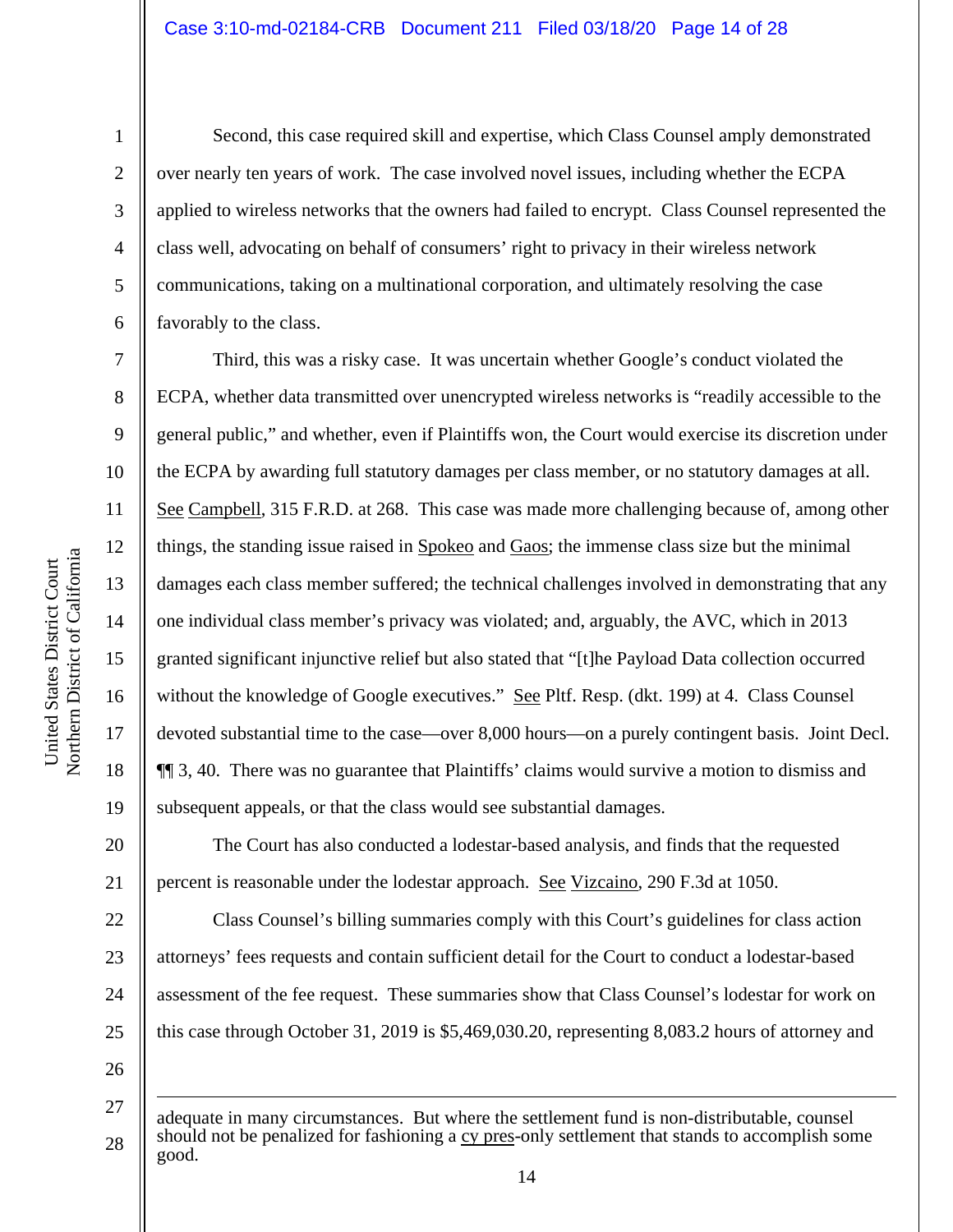a United States District Court United States District Court Northern District of Californi

1

2

3

4

5

6

7

8

9

10

11

12

13

14

15

16

17

18

19

20

21

22

23

24

25

Second, this case required skill and expertise, which Class Counsel amply demonstrated over nearly ten years of work. The case involved novel issues, including whether the ECPA applied to wireless networks that the owners had failed to encrypt. Class Counsel represented the class well, advocating on behalf of consumers' right to privacy in their wireless network communications, taking on a multinational corporation, and ultimately resolving the case favorably to the class.

Third, this was a risky case. It was uncertain whether Google's conduct violated the ECPA, whether data transmitted over unencrypted wireless networks is "readily accessible to the general public," and whether, even if Plaintiffs won, the Court would exercise its discretion under the ECPA by awarding full statutory damages per class member, or no statutory damages at all. See Campbell, 315 F.R.D. at 268.This case was made more challenging because of, among other things, the standing issue raised in Spokeo and Gaos; the immense class size but the minimal damages each class member suffered; the technical challenges involved in demonstrating that any one individual class member's privacy was violated; and, arguably, the AVC, which in 2013 granted significant injunctive relief but also stated that "[t]he Payload Data collection occurred without the knowledge of Google executives." See Pltf. Resp. (dkt. 199) at 4. Class Counsel devoted substantial time to the case—over 8,000 hours—on a purely contingent basis. Joint Decl. ¶¶ 3, 40. There was no guarantee that Plaintiffs' claims would survive a motion to dismiss and subsequent appeals, or that the class would see substantial damages.

The Court has also conducted a lodestar-based analysis, and finds that the requested percent is reasonable under the lodestar approach. See Vizcaino, 290 F.3d at 1050.

Class Counsel's billing summaries comply with this Court's guidelines for class action attorneys' fees requests and contain sufficient detail for the Court to conduct a lodestar-based assessment of the fee request. These summaries show that Class Counsel's lodestar for work on this case through October 31, 2019 is \$5,469,030.20, representing 8,083.2 hours of attorney and

<sup>27</sup>  28 adequate in many circumstances. But where the settlement fund is non-distributable, counsel should not be penalized for fashioning a cy pres-only settlement that stands to accomplish some good.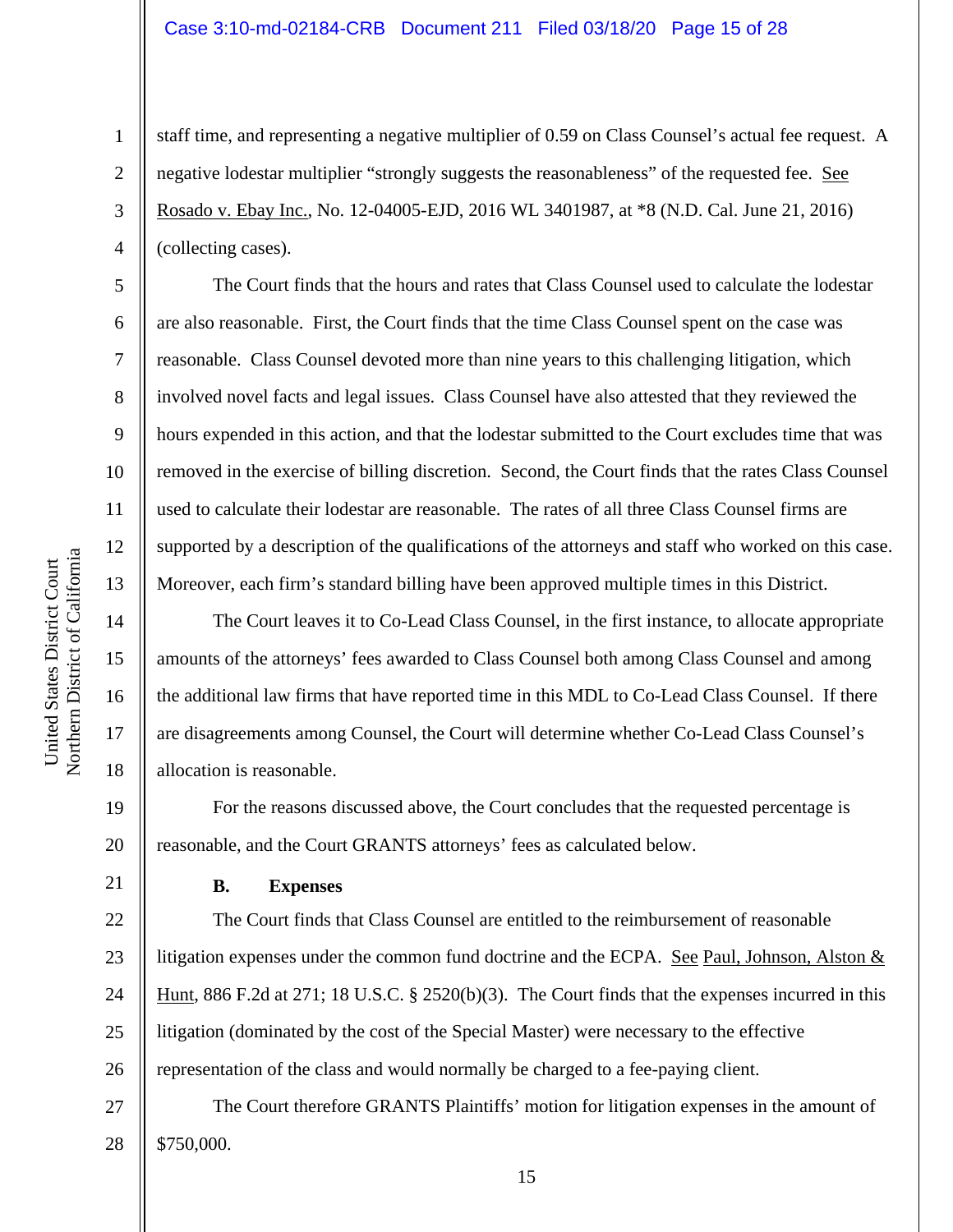## Case 3:10-md-02184-CRB Document 211 Filed 03/18/20 Page 15 of 28

staff time, and representing a negative multiplier of 0.59 on Class Counsel's actual fee request. A negative lodestar multiplier "strongly suggests the reasonableness" of the requested fee. See Rosado v. Ebay Inc., No. 12-04005-EJD, 2016 WL 3401987, at \*8 (N.D. Cal. June 21, 2016) (collecting cases).

The Court finds that the hours and rates that Class Counsel used to calculate the lodestar are also reasonable. First, the Court finds that the time Class Counsel spent on the case was reasonable. Class Counsel devoted more than nine years to this challenging litigation, which involved novel facts and legal issues. Class Counsel have also attested that they reviewed the hours expended in this action, and that the lodestar submitted to the Court excludes time that was removed in the exercise of billing discretion. Second, the Court finds that the rates Class Counsel used to calculate their lodestar are reasonable. The rates of all three Class Counsel firms are supported by a description of the qualifications of the attorneys and staff who worked on this case. Moreover, each firm's standard billing have been approved multiple times in this District.

The Court leaves it to Co-Lead Class Counsel, in the first instance, to allocate appropriate amounts of the attorneys' fees awarded to Class Counsel both among Class Counsel and among the additional law firms that have reported time in this MDL to Co-Lead Class Counsel. If there are disagreements among Counsel, the Court will determine whether Co-Lead Class Counsel's allocation is reasonable.

For the reasons discussed above, the Court concludes that the requested percentage is reasonable, and the Court GRANTS attorneys' fees as calculated below.

# **B. Expenses**

22 23 24 25 26 The Court finds that Class Counsel are entitled to the reimbursement of reasonable litigation expenses under the common fund doctrine and the ECPA. See Paul, Johnson, Alston  $&$ Hunt, 886 F.2d at 271; 18 U.S.C. § 2520(b)(3). The Court finds that the expenses incurred in this litigation (dominated by the cost of the Special Master) were necessary to the effective representation of the class and would normally be charged to a fee-paying client.

27 28 The Court therefore GRANTS Plaintiffs' motion for litigation expenses in the amount of \$750,000.

1

2

3

4

5

6

7

8

9

10

11

12

13

14

15

16

17

18

19

20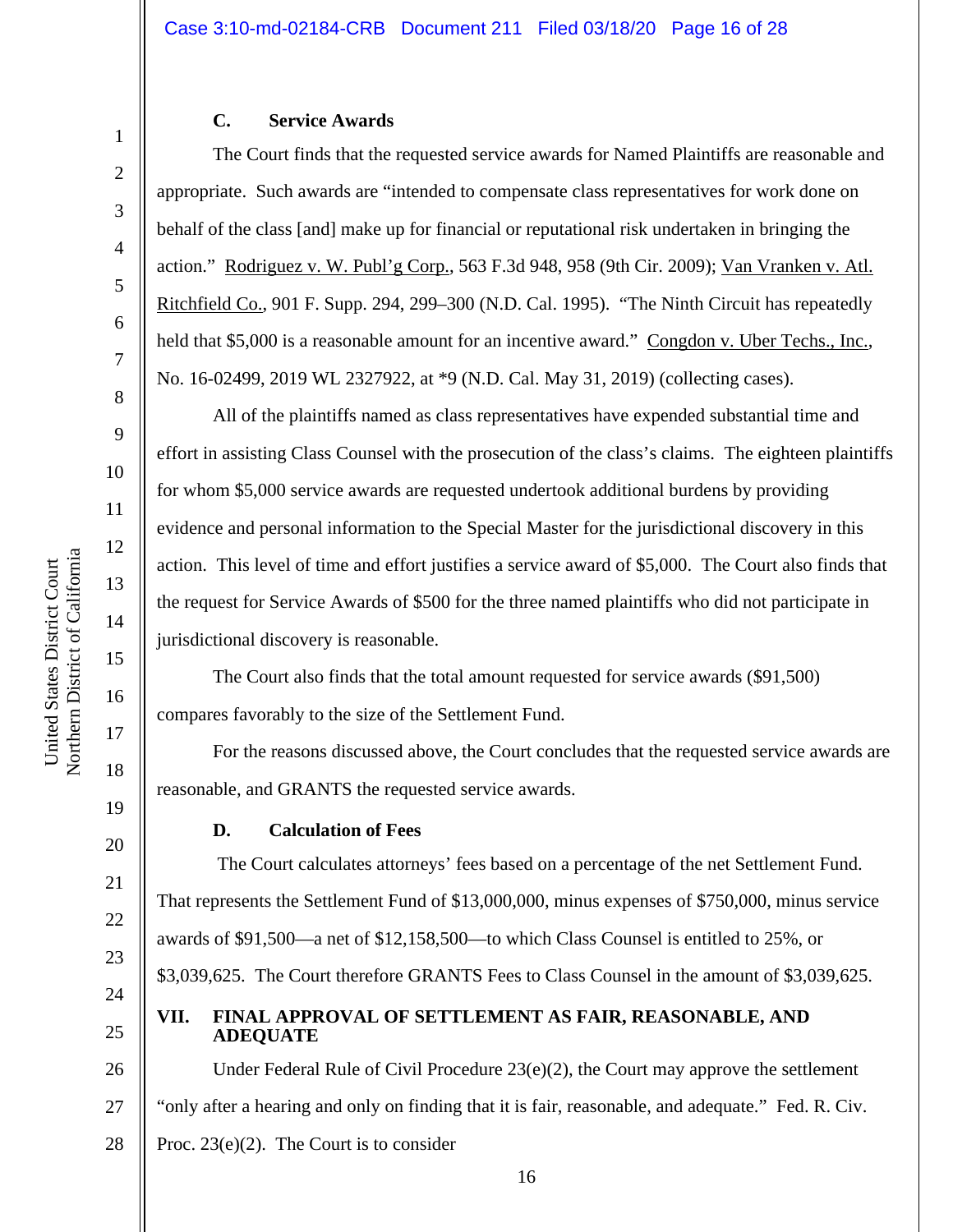# **C. Service Awards**

The Court finds that the requested service awards for Named Plaintiffs are reasonable and appropriate. Such awards are "intended to compensate class representatives for work done on behalf of the class [and] make up for financial or reputational risk undertaken in bringing the action." Rodriguez v. W. Publ'g Corp., 563 F.3d 948, 958 (9th Cir. 2009); Van Vranken v. Atl. Ritchfield Co., 901 F. Supp. 294, 299–300 (N.D. Cal. 1995). "The Ninth Circuit has repeatedly held that \$5,000 is a reasonable amount for an incentive award." Congdon v. Uber Techs., Inc., No. 16-02499, 2019 WL 2327922, at \*9 (N.D. Cal. May 31, 2019) (collecting cases).

All of the plaintiffs named as class representatives have expended substantial time and effort in assisting Class Counsel with the prosecution of the class's claims. The eighteen plaintiffs for whom \$5,000 service awards are requested undertook additional burdens by providing evidence and personal information to the Special Master for the jurisdictional discovery in this action. This level of time and effort justifies a service award of \$5,000. The Court also finds that the request for Service Awards of \$500 for the three named plaintiffs who did not participate in jurisdictional discovery is reasonable.

The Court also finds that the total amount requested for service awards (\$91,500) compares favorably to the size of the Settlement Fund.

For the reasons discussed above, the Court concludes that the requested service awards are reasonable, and GRANTS the requested service awards.

# **D. Calculation of Fees**

 The Court calculates attorneys' fees based on a percentage of the net Settlement Fund. That represents the Settlement Fund of \$13,000,000, minus expenses of \$750,000, minus service awards of \$91,500—a net of \$12,158,500—to which Class Counsel is entitled to 25%, or \$3,039,625. The Court therefore GRANTS Fees to Class Counsel in the amount of \$3,039,625. **VII. FINAL APPROVAL OF SETTLEMENT AS FAIR, REASONABLE, AND** 

# **ADEQUATE**

26 27 Under Federal Rule of Civil Procedure 23(e)(2), the Court may approve the settlement "only after a hearing and only on finding that it is fair, reasonable, and adequate." Fed. R. Civ.

28 Proc. 23(e)(2). The Court is to consider

1

2

3

4

5

6

7

8

9

10

11

12

13

14

15

16

17

18

19

20

21

22

23

24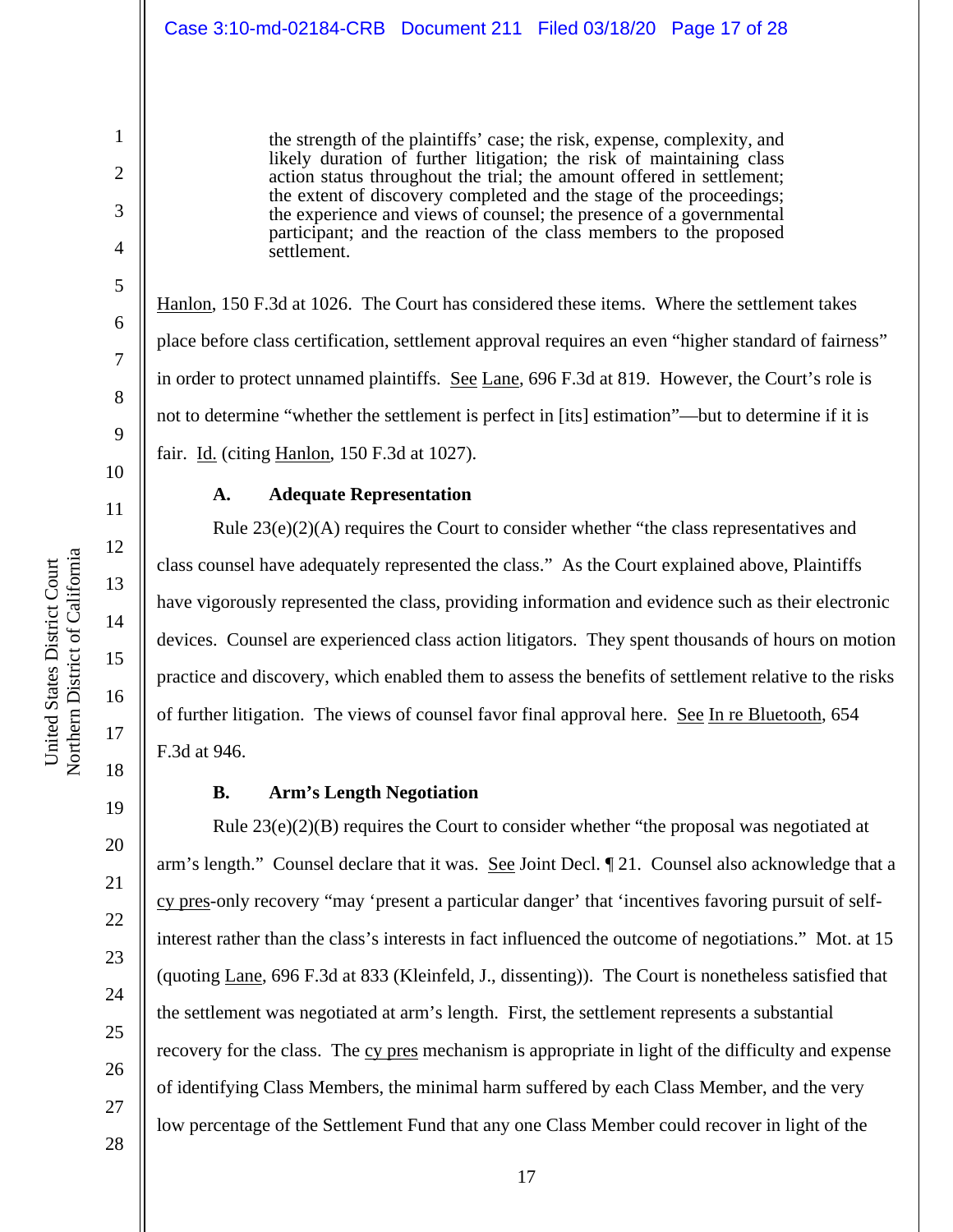the strength of the plaintiffs' case; the risk, expense, complexity, and likely duration of further litigation; the risk of maintaining class action status throughout the trial; the amount offered in settlement; the extent of discovery completed and the stage of the proceedings; the experience and views of counsel; the presence of a governmental participant; and the reaction of the class members to the proposed settlement.

Hanlon, 150 F.3d at 1026. The Court has considered these items. Where the settlement takes place before class certification, settlement approval requires an even "higher standard of fairness" in order to protect unnamed plaintiffs. See Lane, 696 F.3d at 819. However, the Court's role is not to determine "whether the settlement is perfect in [its] estimation"—but to determine if it is fair. Id. (citing Hanlon, 150 F.3d at 1027).

### **A. Adequate Representation**

Rule 23(e)(2)(A) requires the Court to consider whether "the class representatives and class counsel have adequately represented the class." As the Court explained above, Plaintiffs have vigorously represented the class, providing information and evidence such as their electronic devices. Counsel are experienced class action litigators. They spent thousands of hours on motion practice and discovery, which enabled them to assess the benefits of settlement relative to the risks of further litigation. The views of counsel favor final approval here. See In re Bluetooth, 654 F.3d at 946.

### **B. Arm's Length Negotiation**

Rule  $23(e)(2)(B)$  requires the Court to consider whether "the proposal was negotiated at arm's length." Counsel declare that it was. See Joint Decl. [21. Counsel also acknowledge that a cy pres-only recovery "may 'present a particular danger' that 'incentives favoring pursuit of selfinterest rather than the class's interests in fact influenced the outcome of negotiations." Mot. at 15 (quoting Lane, 696 F.3d at 833 (Kleinfeld, J., dissenting)). The Court is nonetheless satisfied that the settlement was negotiated at arm's length. First, the settlement represents a substantial recovery for the class. The cy pres mechanism is appropriate in light of the difficulty and expense of identifying Class Members, the minimal harm suffered by each Class Member, and the very low percentage of the Settlement Fund that any one Class Member could recover in light of the

United States District Court

United States District Court

1

2

3

4

5

6

7

8

9

19

20

21

22

23

24

25

26

27

28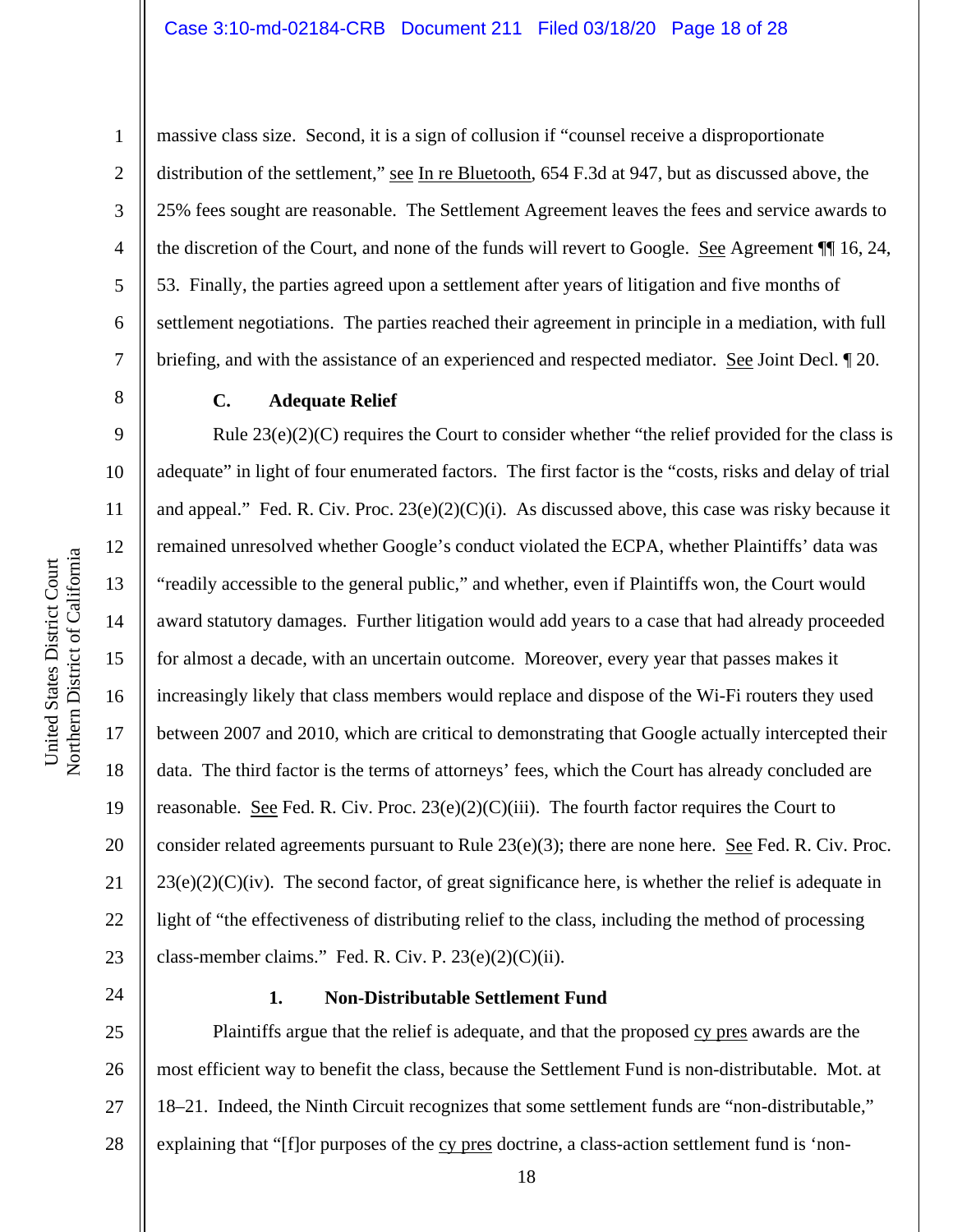Northern District of Californi a 1

2

3

4

5

6

7

8

9

10

11

12

13

14

15

United States District Court

United States District Court

16

17

18

19

20

21

22

23

massive class size. Second, it is a sign of collusion if "counsel receive a disproportionate distribution of the settlement," see In re Bluetooth, 654 F.3d at 947, but as discussed above, the 25% fees sought are reasonable. The Settlement Agreement leaves the fees and service awards to the discretion of the Court, and none of the funds will revert to Google. See Agreement ¶¶ 16, 24, 53. Finally, the parties agreed upon a settlement after years of litigation and five months of settlement negotiations. The parties reached their agreement in principle in a mediation, with full briefing, and with the assistance of an experienced and respected mediator. See Joint Decl. ¶ 20.

#### **C. Adequate Relief**

Rule  $23(e)(2)(C)$  requires the Court to consider whether "the relief provided for the class is adequate" in light of four enumerated factors. The first factor is the "costs, risks and delay of trial and appeal." Fed. R. Civ. Proc.  $23(e)(2)(C)(i)$ . As discussed above, this case was risky because it remained unresolved whether Google's conduct violated the ECPA, whether Plaintiffs' data was "readily accessible to the general public," and whether, even if Plaintiffs won, the Court would award statutory damages. Further litigation would add years to a case that had already proceeded for almost a decade, with an uncertain outcome. Moreover, every year that passes makes it increasingly likely that class members would replace and dispose of the Wi-Fi routers they used between 2007 and 2010, which are critical to demonstrating that Google actually intercepted their data. The third factor is the terms of attorneys' fees, which the Court has already concluded are reasonable. See Fed. R. Civ. Proc.  $23(e)(2)(C)(iii)$ . The fourth factor requires the Court to consider related agreements pursuant to Rule  $23(e)(3)$ ; there are none here. See Fed. R. Civ. Proc.  $23(e)(2)(C)(iv)$ . The second factor, of great significance here, is whether the relief is adequate in light of "the effectiveness of distributing relief to the class, including the method of processing class-member claims." Fed. R. Civ. P.  $23(e)(2)(C)(ii)$ .

24

#### **1. Non-Distributable Settlement Fund**

25 26 27 28 Plaintiffs argue that the relief is adequate, and that the proposed cy pres awards are the most efficient way to benefit the class, because the Settlement Fund is non-distributable. Mot. at 18–21. Indeed, the Ninth Circuit recognizes that some settlement funds are "non-distributable," explaining that "[f]or purposes of the cy pres doctrine, a class-action settlement fund is 'non-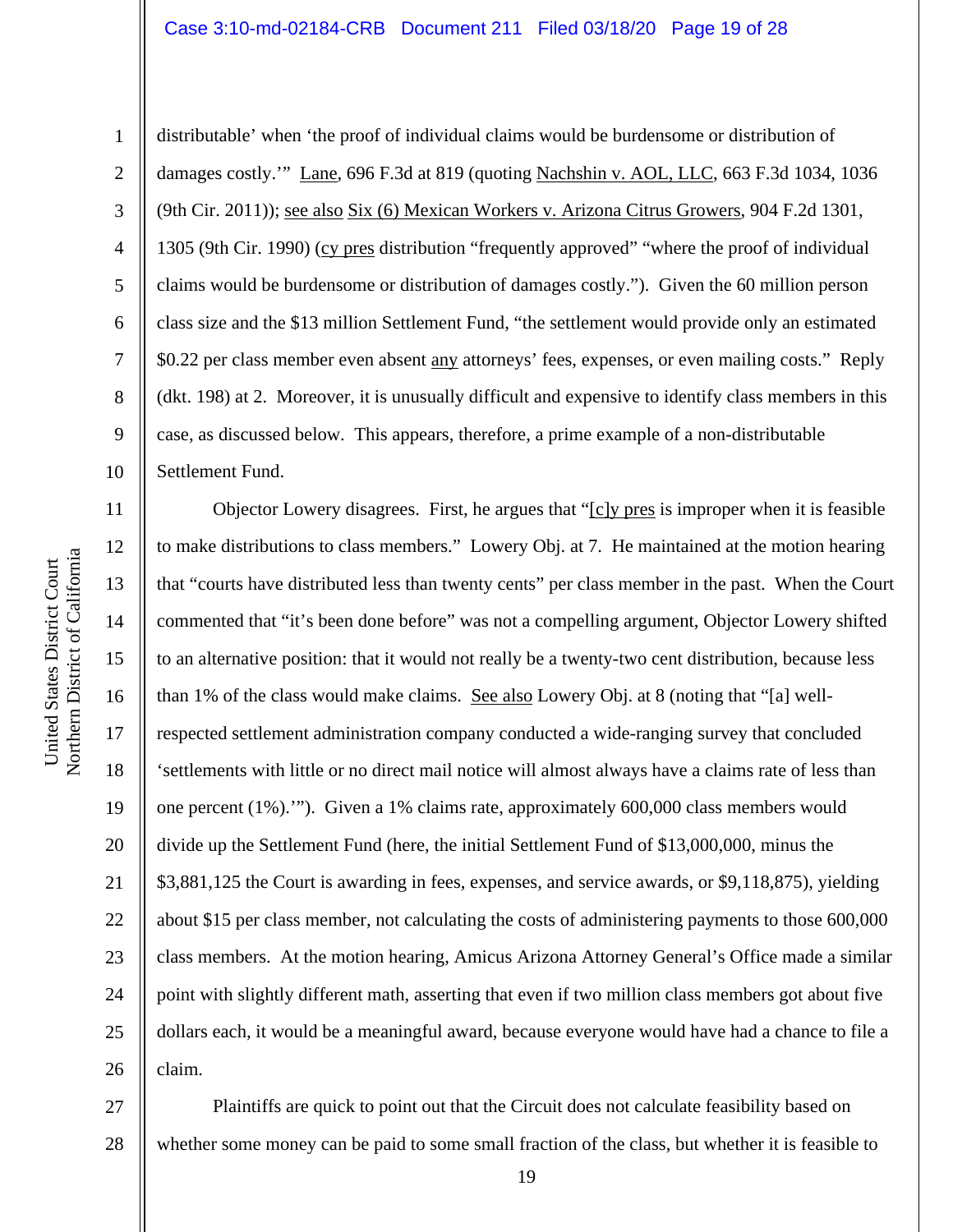### Case 3:10-md-02184-CRB Document 211 Filed 03/18/20 Page 19 of 28

10

1

2 3 4 5 6 7 8 9 distributable' when 'the proof of individual claims would be burdensome or distribution of damages costly.'" Lane, 696 F.3d at 819 (quoting Nachshin v. AOL, LLC, 663 F.3d 1034, 1036 (9th Cir. 2011)); see also Six (6) Mexican Workers v. Arizona Citrus Growers, 904 F.2d 1301, 1305 (9th Cir. 1990) (cy pres distribution "frequently approved" "where the proof of individual claims would be burdensome or distribution of damages costly."). Given the 60 million person class size and the \$13 million Settlement Fund, "the settlement would provide only an estimated \$0.22 per class member even absent any attorneys' fees, expenses, or even mailing costs." Reply (dkt. 198) at 2. Moreover, it is unusually difficult and expensive to identify class members in this case, as discussed below. This appears, therefore, a prime example of a non-distributable Settlement Fund.

11 12 13 14 15 16 17 18 19 20 21 22 23 24 25 26 Objector Lowery disagrees. First, he argues that "[c]y pres is improper when it is feasible to make distributions to class members." Lowery Obj. at 7. He maintained at the motion hearing that "courts have distributed less than twenty cents" per class member in the past. When the Court commented that "it's been done before" was not a compelling argument, Objector Lowery shifted to an alternative position: that it would not really be a twenty-two cent distribution, because less than 1% of the class would make claims. See also Lowery Obj. at 8 (noting that "[a] wellrespected settlement administration company conducted a wide-ranging survey that concluded 'settlements with little or no direct mail notice will almost always have a claims rate of less than one percent (1%).'"). Given a 1% claims rate, approximately 600,000 class members would divide up the Settlement Fund (here, the initial Settlement Fund of \$13,000,000, minus the \$3,881,125 the Court is awarding in fees, expenses, and service awards, or \$9,118,875), yielding about \$15 per class member, not calculating the costs of administering payments to those 600,000 class members. At the motion hearing, Amicus Arizona Attorney General's Office made a similar point with slightly different math, asserting that even if two million class members got about five dollars each, it would be a meaningful award, because everyone would have had a chance to file a claim.

27 28 Plaintiffs are quick to point out that the Circuit does not calculate feasibility based on whether some money can be paid to some small fraction of the class, but whether it is feasible to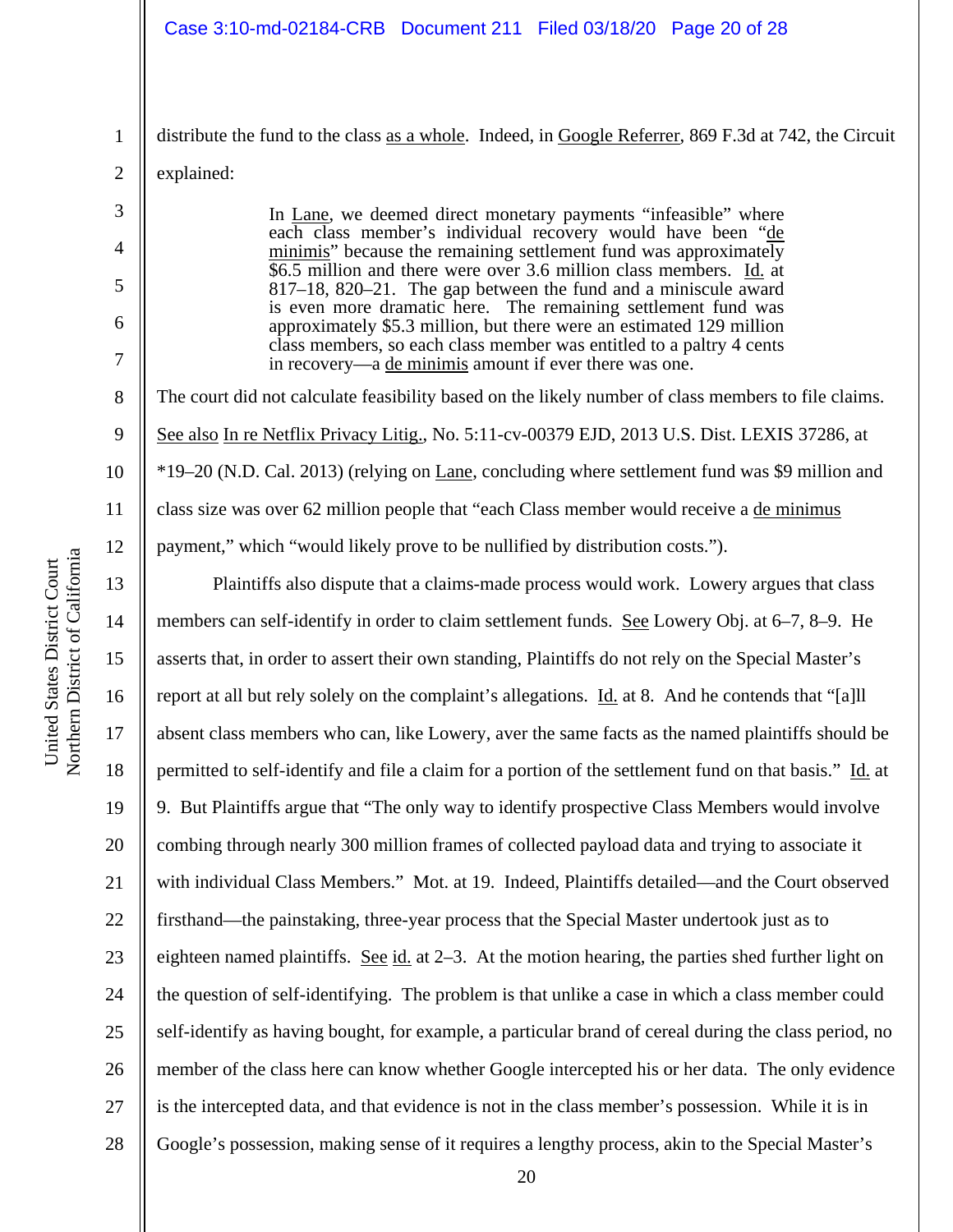#### Case 3:10-md-02184-CRB Document 211 Filed 03/18/20 Page 20 of 28

distribute the fund to the class as a whole. Indeed, in Google Referrer, 869 F.3d at 742, the Circuit

2 explained:

1

3

4

5

6

7

8

9

10

11

12

13

14

15

16

17

18

19

20

21

22

23

24

25

26

27

28

In Lane, we deemed direct monetary payments "infeasible" where each class member's individual recovery would have been "de minimis" because the remaining settlement fund was approximately \$6.5 million and there were over 3.6 million class members. Id. at 817–18, 820–21. The gap between the fund and a miniscule award is even more dramatic here. The remaining settlement fund was approximately \$5.3 million, but there were an estimated 129 million class members, so each class member was entitled to a paltry 4 cents in recovery—a de minimis amount if ever there was one.

The court did not calculate feasibility based on the likely number of class members to file claims. See also In re Netflix Privacy Litig., No. 5:11-cv-00379 EJD, 2013 U.S. Dist. LEXIS 37286, at \*19–20 (N.D. Cal. 2013) (relying on Lane, concluding where settlement fund was \$9 million and class size was over 62 million people that "each Class member would receive a de minimus payment," which "would likely prove to be nullified by distribution costs.").

Plaintiffs also dispute that a claims-made process would work. Lowery argues that class members can self-identify in order to claim settlement funds. See Lowery Obj. at 6–7, 8–9. He asserts that, in order to assert their own standing, Plaintiffs do not rely on the Special Master's report at all but rely solely on the complaint's allegations. Id. at 8. And he contends that "[a]ll absent class members who can, like Lowery, aver the same facts as the named plaintiffs should be permitted to self-identify and file a claim for a portion of the settlement fund on that basis." Id. at 9. But Plaintiffs argue that "The only way to identify prospective Class Members would involve combing through nearly 300 million frames of collected payload data and trying to associate it with individual Class Members." Mot. at 19. Indeed, Plaintiffs detailed—and the Court observed firsthand—the painstaking, three-year process that the Special Master undertook just as to eighteen named plaintiffs. See id. at 2–3. At the motion hearing, the parties shed further light on the question of self-identifying. The problem is that unlike a case in which a class member could self-identify as having bought, for example, a particular brand of cereal during the class period, no member of the class here can know whether Google intercepted his or her data. The only evidence is the intercepted data, and that evidence is not in the class member's possession. While it is in Google's possession, making sense of it requires a lengthy process, akin to the Special Master's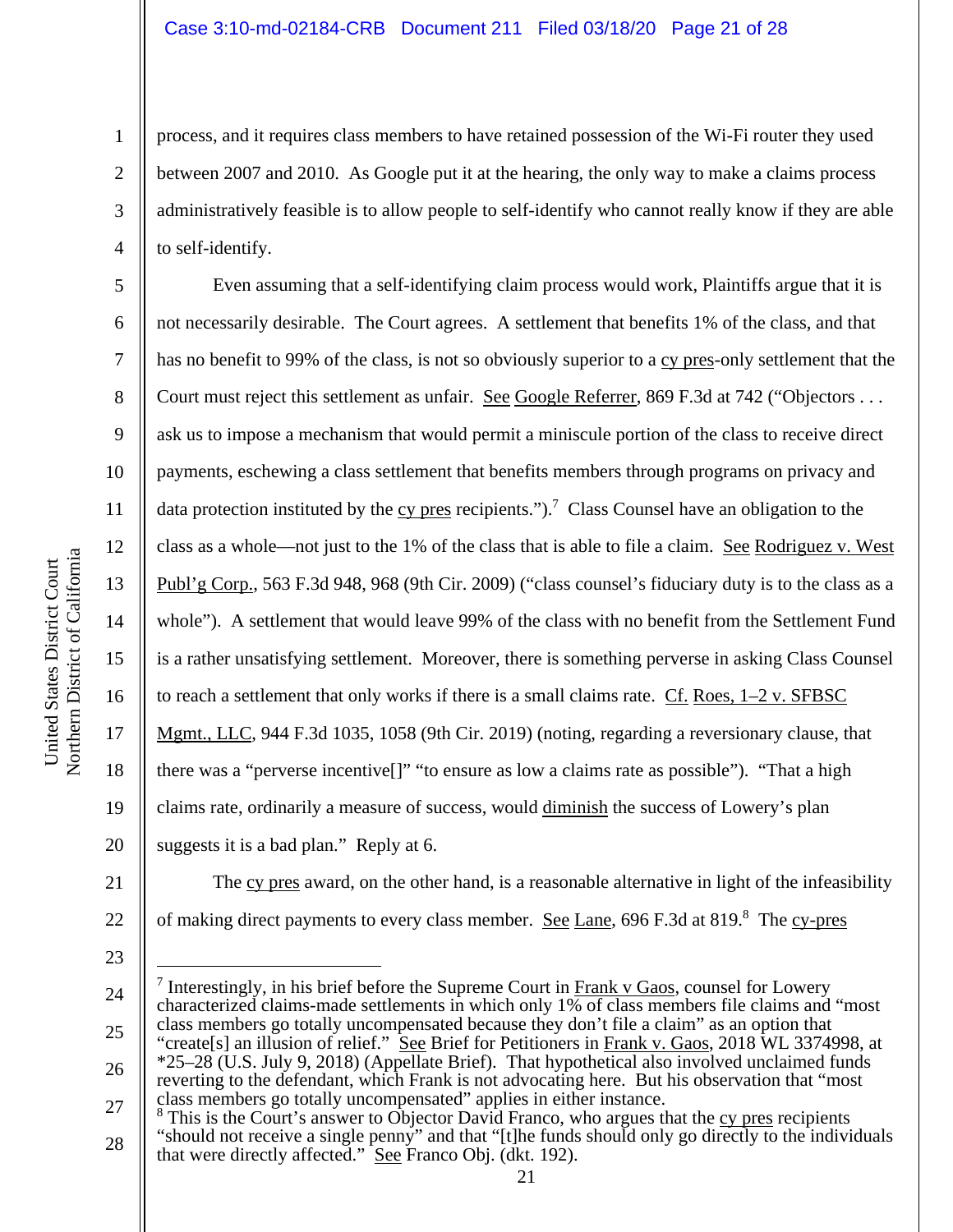process, and it requires class members to have retained possession of the Wi-Fi router they used between 2007 and 2010. As Google put it at the hearing, the only way to make a claims process administratively feasible is to allow people to self-identify who cannot really know if they are able to self-identify.

Even assuming that a self-identifying claim process would work, Plaintiffs argue that it is not necessarily desirable. The Court agrees. A settlement that benefits 1% of the class, and that has no benefit to 99% of the class, is not so obviously superior to a cy pres-only settlement that the Court must reject this settlement as unfair. See Google Referrer, 869 F.3d at 742 ("Objectors . . . ask us to impose a mechanism that would permit a miniscule portion of the class to receive direct payments, eschewing a class settlement that benefits members through programs on privacy and data protection instituted by the  $cy$  pres recipients.").<sup>7</sup> Class Counsel have an obligation to the class as a whole—not just to the 1% of the class that is able to file a claim. See Rodriguez v. West Publ'g Corp., 563 F.3d 948, 968 (9th Cir. 2009) ("class counsel's fiduciary duty is to the class as a whole"). A settlement that would leave 99% of the class with no benefit from the Settlement Fund is a rather unsatisfying settlement. Moreover, there is something perverse in asking Class Counsel to reach a settlement that only works if there is a small claims rate. Cf. Roes, 1–2 v. SFBSC Mgmt., LLC, 944 F.3d 1035, 1058 (9th Cir. 2019) (noting, regarding a reversionary clause, that there was a "perverse incentive[]" "to ensure as low a claims rate as possible"). "That a high claims rate, ordinarily a measure of success, would diminish the success of Lowery's plan suggests it is a bad plan." Reply at 6.



The cy pres award, on the other hand, is a reasonable alternative in light of the infeasibility of making direct payments to every class member. See Lane, 696 F.3d at 819.<sup>8</sup> The cy-pres

23

1

2

3

4

5

6

7

8

9

10

11

12

13

14

15

16

17

18

<sup>24</sup>  25 26 <sup>7</sup> Interestingly, in his brief before the Supreme Court in  $\frac{Frank}{v}$  Gaos, counsel for Lowery characterized claims-made settlements in which only 1% of class members file claims and "most class members go totally uncompensated because they don't file a claim" as an option that "create[s] an illusion of relief." See Brief for Petitioners in Frank v. Gaos, 2018 WL 3374998, at \*25–28 (U.S. July 9, 2018) (Appellate Brief). That hypothetical also involved unclaimed funds reverting to the defendant, which Frank is not advocating here. But his observation that "most

<sup>27</sup>  28 class members go totally uncompensated" applies in either instance.<br><sup>8</sup> This is the Court's answer to Objector David Franco, who argues that the <u>cy pres</u> recipients "should not receive a single penny" and that "[t]he funds should only go directly to the individuals that were directly affected." See Franco Obj. (dkt. 192).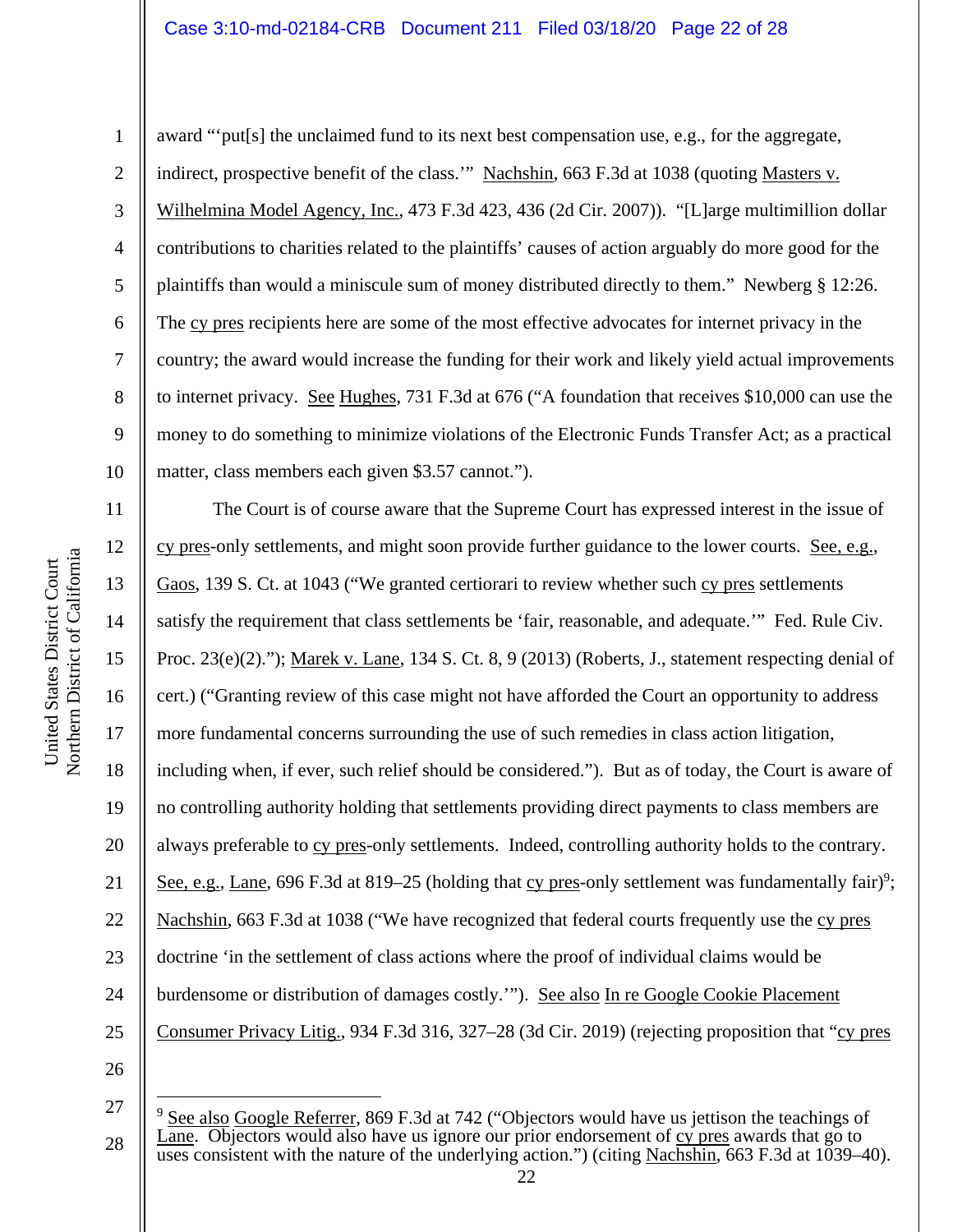#### Case 3:10-md-02184-CRB Document 211 Filed 03/18/20 Page 22 of 28

award "'put[s] the unclaimed fund to its next best compensation use, e.g., for the aggregate, indirect, prospective benefit of the class." Nachshin, 663 F.3d at 1038 (quoting Masters v. Wilhelmina Model Agency, Inc., 473 F.3d 423, 436 (2d Cir. 2007)). "[L]arge multimillion dollar contributions to charities related to the plaintiffs' causes of action arguably do more good for the plaintiffs than would a miniscule sum of money distributed directly to them." Newberg § 12:26. The cy pres recipients here are some of the most effective advocates for internet privacy in the country; the award would increase the funding for their work and likely yield actual improvements to internet privacy. See Hughes, 731 F.3d at 676 ("A foundation that receives \$10,000 can use the money to do something to minimize violations of the Electronic Funds Transfer Act; as a practical matter, class members each given \$3.57 cannot.").

The Court is of course aware that the Supreme Court has expressed interest in the issue of cy pres-only settlements, and might soon provide further guidance to the lower courts. See, e.g., Gaos, 139 S. Ct. at 1043 ("We granted certiorari to review whether such cy pres settlements satisfy the requirement that class settlements be 'fair, reasonable, and adequate.'" Fed. Rule Civ. Proc. 23(e)(2)."); Marek v. Lane, 134 S. Ct. 8, 9 (2013) (Roberts, J., statement respecting denial of cert.) ("Granting review of this case might not have afforded the Court an opportunity to address more fundamental concerns surrounding the use of such remedies in class action litigation, including when, if ever, such relief should be considered."). But as of today, the Court is aware of no controlling authority holding that settlements providing direct payments to class members are always preferable to cy pres-only settlements. Indeed, controlling authority holds to the contrary. See, e.g., Lane, 696 F.3d at 819–25 (holding that cy pres-only settlement was fundamentally fair)<sup>9</sup>; Nachshin, 663 F.3d at 1038 ("We have recognized that federal courts frequently use the cy pres doctrine 'in the settlement of class actions where the proof of individual claims would be burdensome or distribution of damages costly.""). See also In re Google Cookie Placement Consumer Privacy Litig., 934 F.3d 316, 327–28 (3d Cir. 2019) (rejecting proposition that "cy pres

26 27

28

1

2

3

4

5

6

7

8

9

10

11

12

13

14

15

16

17

18

19

20

21

22

23

24

<sup>&</sup>lt;sup>9</sup> See also Google Referrer, 869 F.3d at 742 ("Objectors would have us jettison the teachings of Lane. Objectors would also have us ignore our prior endorsement of cy pres awards that go to uses consistent with the nature of the underlying action.") (citing Nachshin,  $663$  F.3d at 1039–40).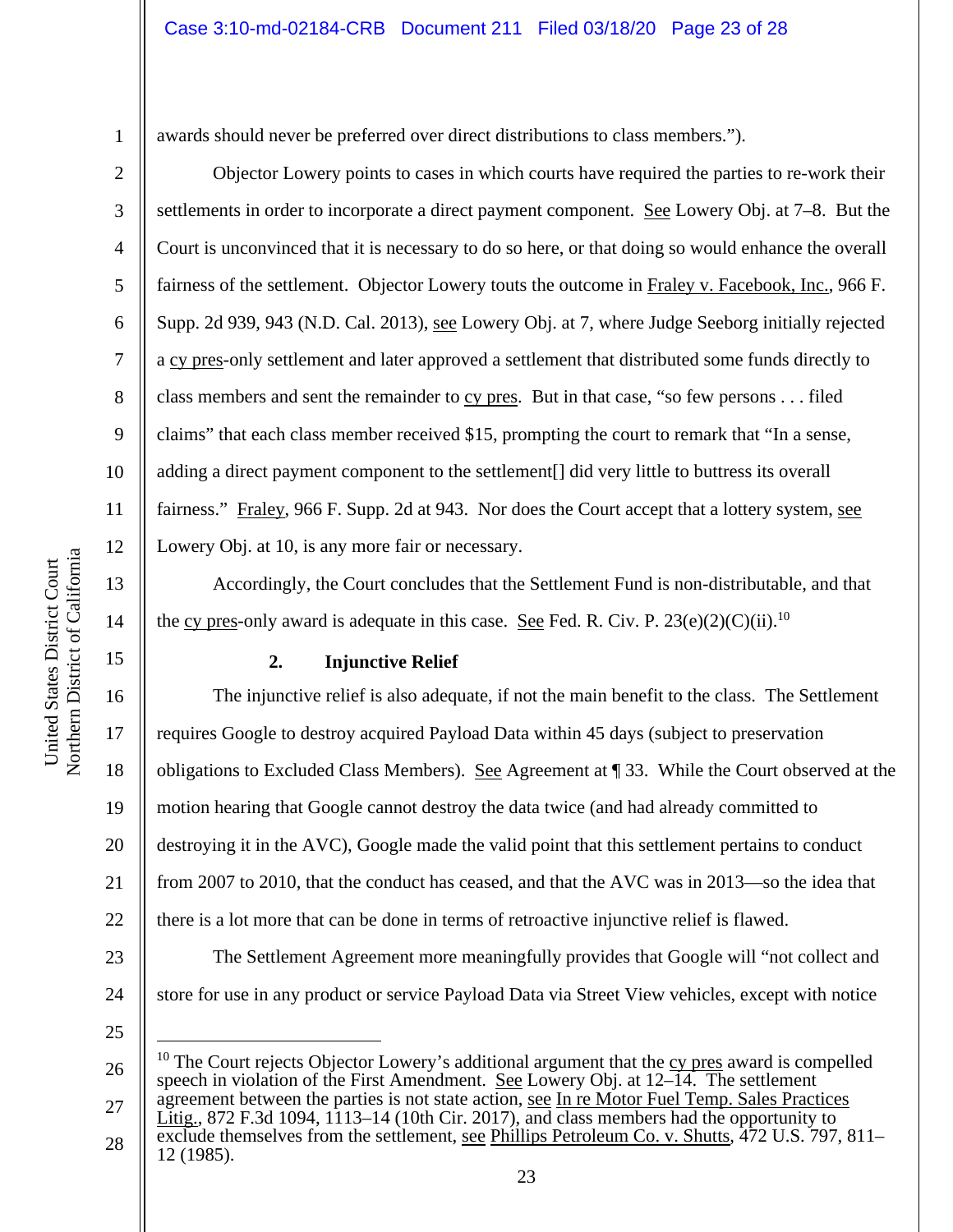awards should never be preferred over direct distributions to class members.").

Objector Lowery points to cases in which courts have required the parties to re-work their settlements in order to incorporate a direct payment component. See Lowery Obj. at 7–8. But the Court is unconvinced that it is necessary to do so here, or that doing so would enhance the overall fairness of the settlement. Objector Lowery touts the outcome in Fraley v. Facebook, Inc., 966 F. Supp. 2d 939, 943 (N.D. Cal. 2013), see Lowery Obj. at 7, where Judge Seeborg initially rejected a cy pres-only settlement and later approved a settlement that distributed some funds directly to class members and sent the remainder to cy pres. But in that case, "so few persons . . . filed claims" that each class member received \$15, prompting the court to remark that "In a sense, adding a direct payment component to the settlement[] did very little to buttress its overall fairness." Fraley, 966 F. Supp. 2d at 943. Nor does the Court accept that a lottery system, see Lowery Obj. at 10, is any more fair or necessary.

Accordingly, the Court concludes that the Settlement Fund is non-distributable, and that the cy pres-only award is adequate in this case. See Fed. R. Civ. P.  $23(e)(2)(C)(ii)$ .<sup>10</sup>

**2. Injunctive Relief** 

16 17 18 19 20 21 22 23 24 The injunctive relief is also adequate, if not the main benefit to the class. The Settlement requires Google to destroy acquired Payload Data within 45 days (subject to preservation obligations to Excluded Class Members). See Agreement at ¶ 33. While the Court observed at the motion hearing that Google cannot destroy the data twice (and had already committed to destroying it in the AVC), Google made the valid point that this settlement pertains to conduct from 2007 to 2010, that the conduct has ceased, and that the AVC was in 2013—so the idea that there is a lot more that can be done in terms of retroactive injunctive relief is flawed. The Settlement Agreement more meaningfully provides that Google will "not collect and store for use in any product or service Payload Data via Street View vehicles, except with notice

25

26 27  $10$  The Court rejects Objector Lowery's additional argument that the cy pres award is compelled speech in violation of the First Amendment. See Lowery Obj. at 12–14. The settlement agreement between the parties is not state action, see In re Motor Fuel Temp. Sales Practices

28 Litig., 872 F.3d 1094, 1113–14 (10th Cir. 2017), and class members had the opportunity to exclude themselves from the settlement, see Phillips Petroleum Co. v. Shutts, 472 U.S. 797, 811– 12 (1985).

1

2

3

4

5

6

7

8

9

10

11

12

13

14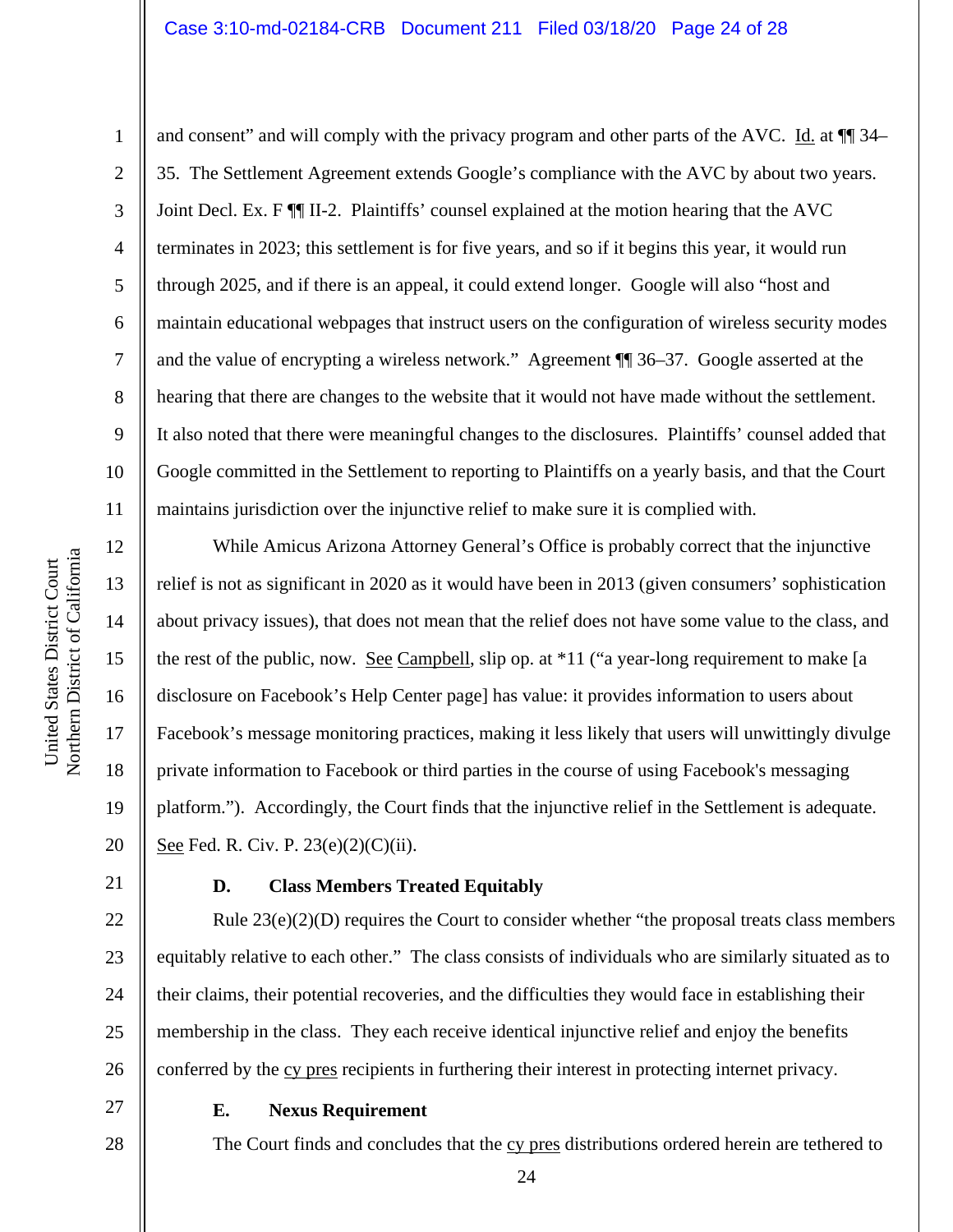### Case 3:10-md-02184-CRB Document 211 Filed 03/18/20 Page 24 of 28

a United States District Court United States District Court Northern District of Californi

12

13

14

15

16

17

18

19

20

22

23

24

25

26

27

1 2 3 4 5 6 7 8 9 10 11 and consent" and will comply with the privacy program and other parts of the AVC. Id. at  $\P$  34– 35. The Settlement Agreement extends Google's compliance with the AVC by about two years. Joint Decl. Ex. F ¶¶ II-2. Plaintiffs' counsel explained at the motion hearing that the AVC terminates in 2023; this settlement is for five years, and so if it begins this year, it would run through 2025, and if there is an appeal, it could extend longer. Google will also "host and maintain educational webpages that instruct users on the configuration of wireless security modes and the value of encrypting a wireless network." Agreement ¶¶ 36–37. Google asserted at the hearing that there are changes to the website that it would not have made without the settlement. It also noted that there were meaningful changes to the disclosures. Plaintiffs' counsel added that Google committed in the Settlement to reporting to Plaintiffs on a yearly basis, and that the Court maintains jurisdiction over the injunctive relief to make sure it is complied with.

While Amicus Arizona Attorney General's Office is probably correct that the injunctive relief is not as significant in 2020 as it would have been in 2013 (given consumers' sophistication about privacy issues), that does not mean that the relief does not have some value to the class, and the rest of the public, now. See Campbell, slip op. at \*11 ("a year-long requirement to make [a disclosure on Facebook's Help Center page] has value: it provides information to users about Facebook's message monitoring practices, making it less likely that users will unwittingly divulge private information to Facebook or third parties in the course of using Facebook's messaging platform."). Accordingly, the Court finds that the injunctive relief in the Settlement is adequate. See Fed. R. Civ. P. 23(e)(2)(C)(ii).

21

#### **D. Class Members Treated Equitably**

Rule 23(e)(2)(D) requires the Court to consider whether "the proposal treats class members equitably relative to each other." The class consists of individuals who are similarly situated as to their claims, their potential recoveries, and the difficulties they would face in establishing their membership in the class. They each receive identical injunctive relief and enjoy the benefits conferred by the cy pres recipients in furthering their interest in protecting internet privacy.

28

### **E. Nexus Requirement**

The Court finds and concludes that the cy pres distributions ordered herein are tethered to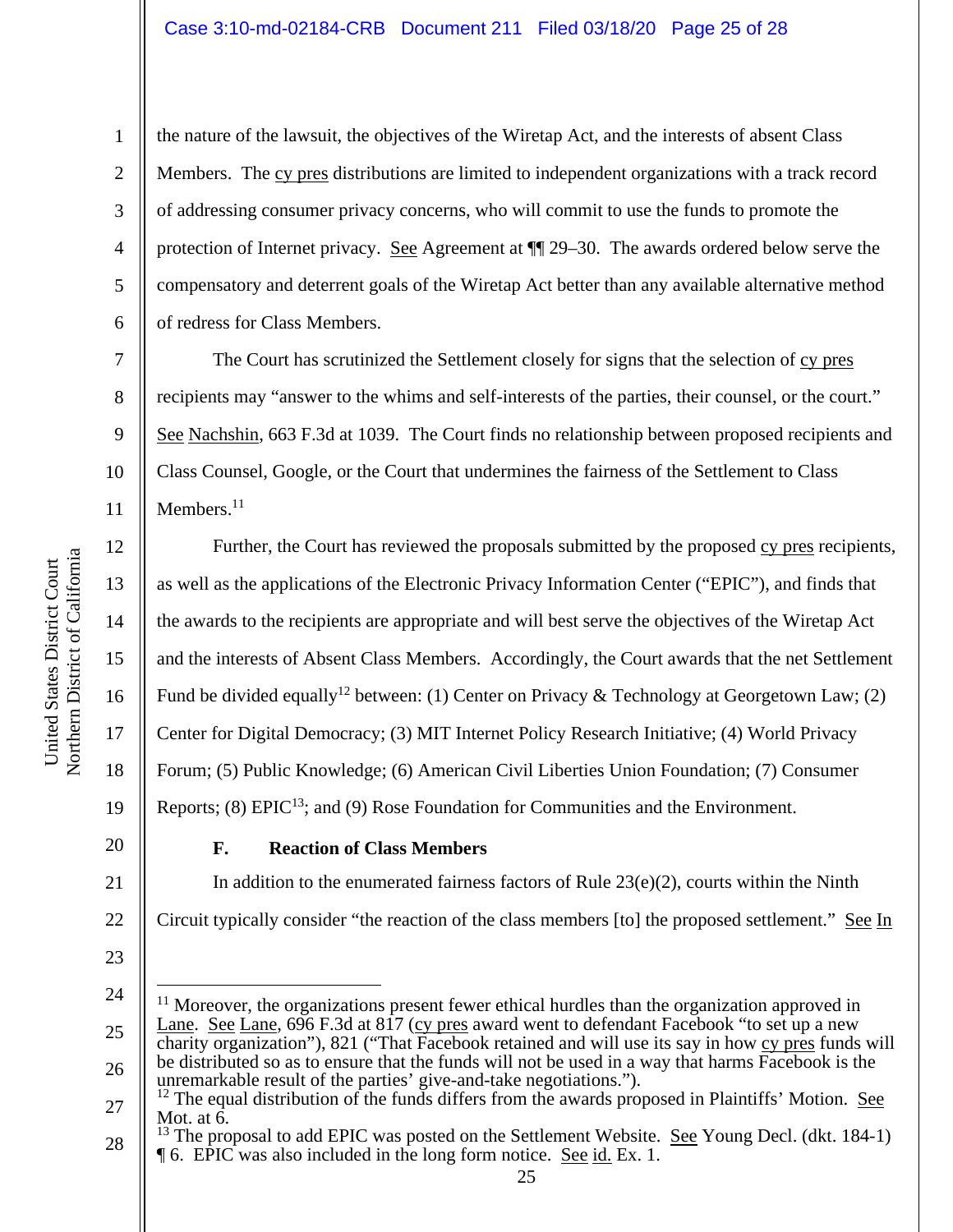#### Case 3:10-md-02184-CRB Document 211 Filed 03/18/20 Page 25 of 28

the nature of the lawsuit, the objectives of the Wiretap Act, and the interests of absent Class Members. The cy pres distributions are limited to independent organizations with a track record of addressing consumer privacy concerns, who will commit to use the funds to promote the protection of Internet privacy. See Agreement at ¶¶ 29–30. The awards ordered below serve the compensatory and deterrent goals of the Wiretap Act better than any available alternative method of redress for Class Members.

The Court has scrutinized the Settlement closely for signs that the selection of cy pres recipients may "answer to the whims and self-interests of the parties, their counsel, or the court." See Nachshin, 663 F.3d at 1039. The Court finds no relationship between proposed recipients and Class Counsel, Google, or the Court that undermines the fairness of the Settlement to Class Members.<sup>11</sup>

16 Further, the Court has reviewed the proposals submitted by the proposed cy pres recipients, as well as the applications of the Electronic Privacy Information Center ("EPIC"), and finds that the awards to the recipients are appropriate and will best serve the objectives of the Wiretap Act and the interests of Absent Class Members. Accordingly, the Court awards that the net Settlement Fund be divided equally<sup>12</sup> between: (1) Center on Privacy & Technology at Georgetown Law; (2) Center for Digital Democracy; (3) MIT Internet Policy Research Initiative; (4) World Privacy Forum; (5) Public Knowledge; (6) American Civil Liberties Union Foundation; (7) Consumer Reports; (8)  $E\text{PIC}^{13}$ ; and (9) Rose Foundation for Communities and the Environment.

20

1

2

3

4

5

6

7

8

9

10

11

12

13

14

15

17

18

19

21

22

# **F. Reaction of Class Members**

In addition to the enumerated fairness factors of Rule  $23(e)(2)$ , courts within the Ninth Circuit typically consider "the reaction of the class members [to] the proposed settlement." See In

<sup>23</sup> 

<sup>24</sup> 

<sup>25</sup>  26  $11$  Moreover, the organizations present fewer ethical hurdles than the organization approved in Lane. See Lane, 696 F.3d at 817 (cy pres award went to defendant Facebook "to set up a new charity organization"), 821 ("That Facebook retained and will use its say in how cy pres funds will be distributed so as to ensure that the funds will not be used in a way that harms Facebook is the unremarkable result of the parties' give-and-take negotiations.").

<sup>27</sup>   $^{12}$  The equal distribution of the funds differs from the awards proposed in Plaintiffs' Motion. See Mot. at 6.

<sup>28</sup>  <sup>13</sup> The proposal to add EPIC was posted on the Settlement Website. See Young Decl. (dkt. 184-1) ¶ 6. EPIC was also included in the long form notice. See id. Ex. 1.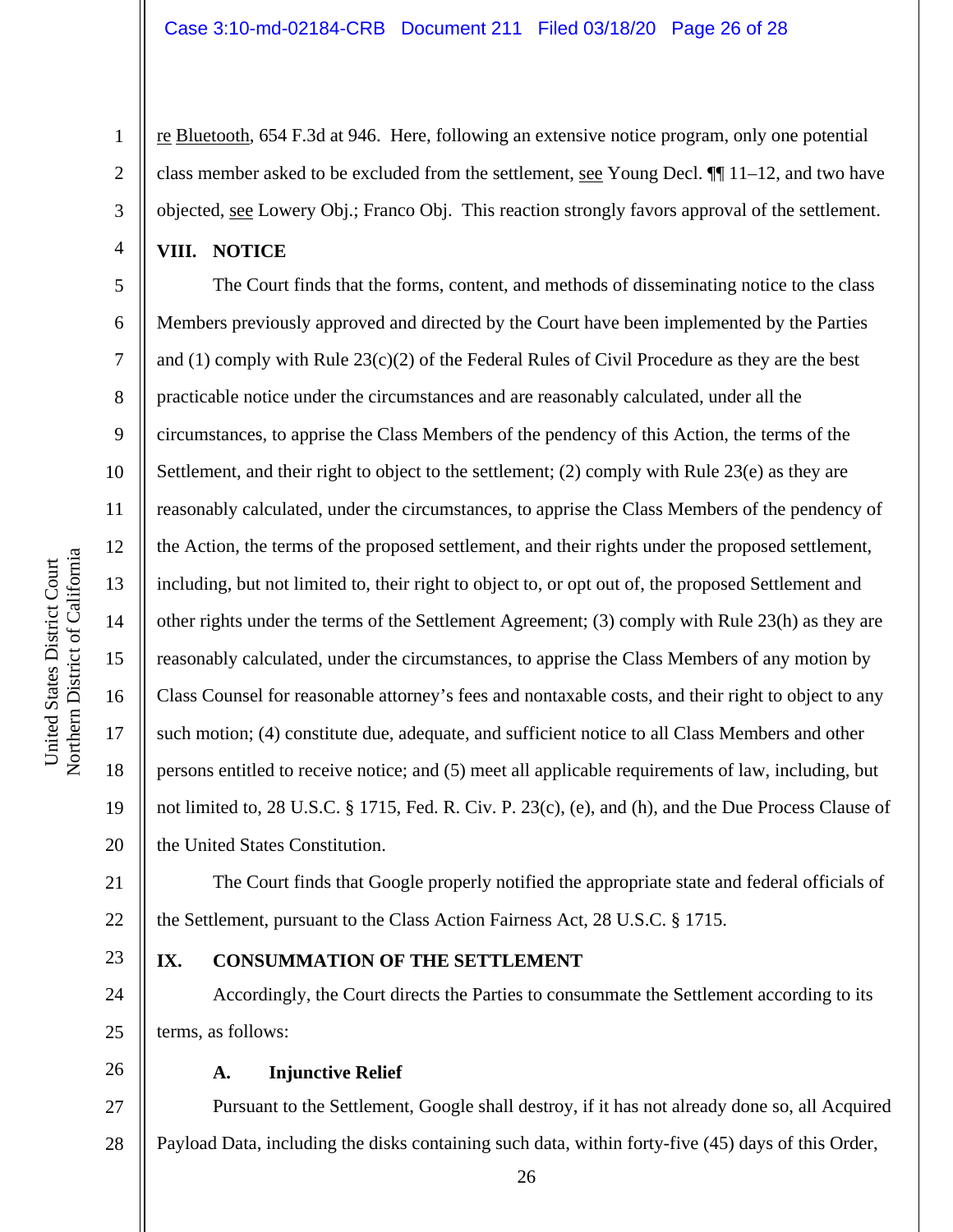re Bluetooth, 654 F.3d at 946. Here, following an extensive notice program, only one potential class member asked to be excluded from the settlement, see Young Decl.  $\P$ [11–12, and two have objected, see Lowery Obj.; Franco Obj. This reaction strongly favors approval of the settlement.

**VIII. NOTICE** 

1

2

3

4

5

6

7

8

9

10

11

12

13

14

15

16

17

18

19

20

The Court finds that the forms, content, and methods of disseminating notice to the class Members previously approved and directed by the Court have been implemented by the Parties and (1) comply with Rule  $23(c)(2)$  of the Federal Rules of Civil Procedure as they are the best practicable notice under the circumstances and are reasonably calculated, under all the circumstances, to apprise the Class Members of the pendency of this Action, the terms of the Settlement, and their right to object to the settlement; (2) comply with Rule 23(e) as they are reasonably calculated, under the circumstances, to apprise the Class Members of the pendency of the Action, the terms of the proposed settlement, and their rights under the proposed settlement, including, but not limited to, their right to object to, or opt out of, the proposed Settlement and other rights under the terms of the Settlement Agreement; (3) comply with Rule 23(h) as they are reasonably calculated, under the circumstances, to apprise the Class Members of any motion by Class Counsel for reasonable attorney's fees and nontaxable costs, and their right to object to any such motion; (4) constitute due, adequate, and sufficient notice to all Class Members and other persons entitled to receive notice; and (5) meet all applicable requirements of law, including, but not limited to, 28 U.S.C. § 1715, Fed. R. Civ. P. 23(c), (e), and (h), and the Due Process Clause of the United States Constitution.

21 22 The Court finds that Google properly notified the appropriate state and federal officials of the Settlement, pursuant to the Class Action Fairness Act, 28 U.S.C. § 1715.

23

24

25

# **IX. CONSUMMATION OF THE SETTLEMENT**

Accordingly, the Court directs the Parties to consummate the Settlement according to its terms, as follows:

26

#### **A. Injunctive Relief**

27 28 Pursuant to the Settlement, Google shall destroy, if it has not already done so, all Acquired Payload Data, including the disks containing such data, within forty-five (45) days of this Order,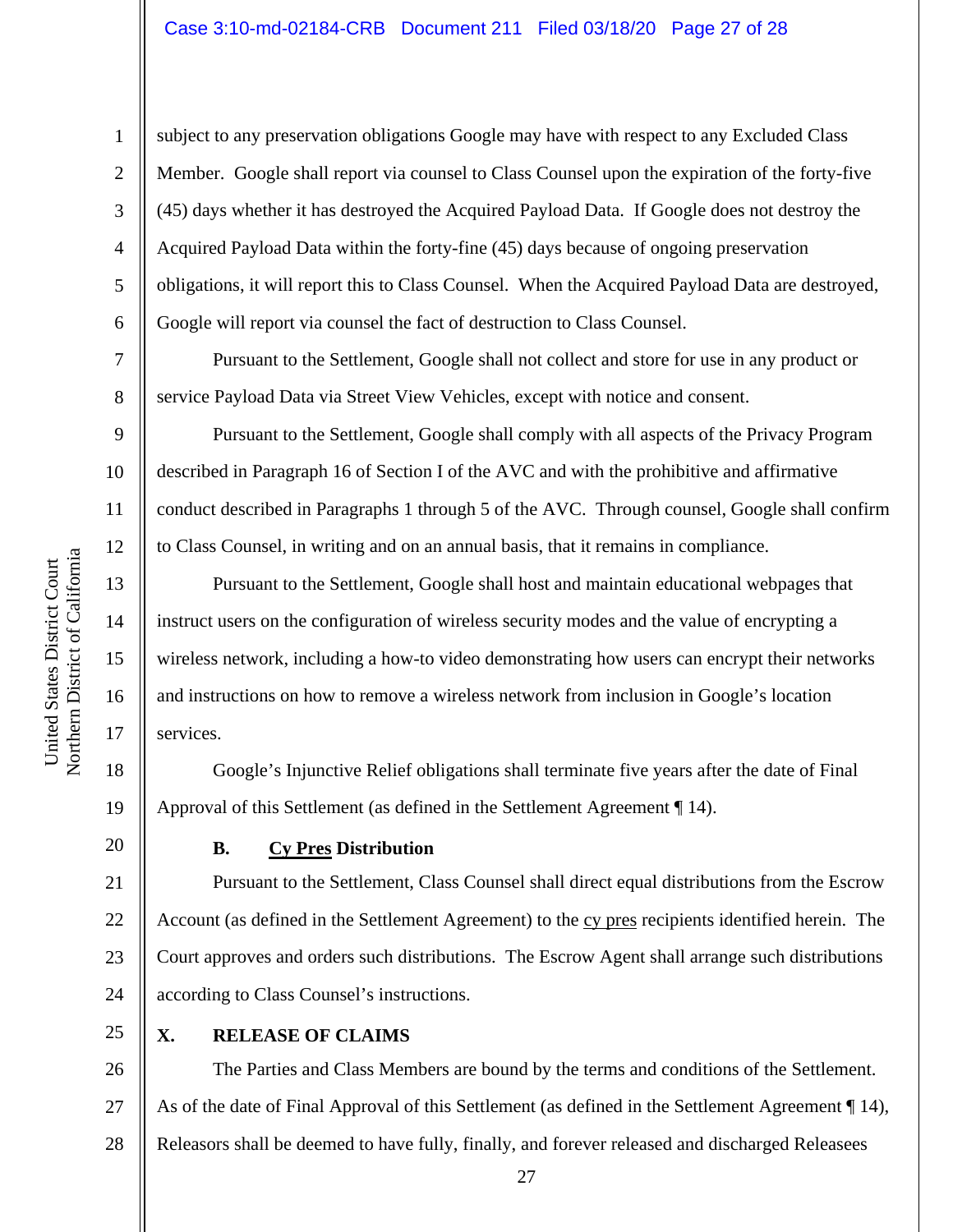# Case 3:10-md-02184-CRB Document 211 Filed 03/18/20 Page 27 of 28

subject to any preservation obligations Google may have with respect to any Excluded Class Member. Google shall report via counsel to Class Counsel upon the expiration of the forty-five (45) days whether it has destroyed the Acquired Payload Data. If Google does not destroy the Acquired Payload Data within the forty-fine (45) days because of ongoing preservation obligations, it will report this to Class Counsel. When the Acquired Payload Data are destroyed, Google will report via counsel the fact of destruction to Class Counsel.

Pursuant to the Settlement, Google shall not collect and store for use in any product or service Payload Data via Street View Vehicles, except with notice and consent.

Pursuant to the Settlement, Google shall comply with all aspects of the Privacy Program described in Paragraph 16 of Section I of the AVC and with the prohibitive and affirmative conduct described in Paragraphs 1 through 5 of the AVC. Through counsel, Google shall confirm to Class Counsel, in writing and on an annual basis, that it remains in compliance.

Pursuant to the Settlement, Google shall host and maintain educational webpages that instruct users on the configuration of wireless security modes and the value of encrypting a wireless network, including a how-to video demonstrating how users can encrypt their networks and instructions on how to remove a wireless network from inclusion in Google's location services.

18 19 Google's Injunctive Relief obligations shall terminate five years after the date of Final Approval of this Settlement (as defined in the Settlement Agreement ¶ 14).

# **B. Cy Pres Distribution**

21 22 23 24 Pursuant to the Settlement, Class Counsel shall direct equal distributions from the Escrow Account (as defined in the Settlement Agreement) to the cy pres recipients identified herein. The Court approves and orders such distributions. The Escrow Agent shall arrange such distributions according to Class Counsel's instructions.

25

# **X. RELEASE OF CLAIMS**

26 27 28 The Parties and Class Members are bound by the terms and conditions of the Settlement. As of the date of Final Approval of this Settlement (as defined in the Settlement Agreement ¶ 14), Releasors shall be deemed to have fully, finally, and forever released and discharged Releasees

1

2

3

4

5

6

7

8

9

10

11

12

13

14

15

16

17

20